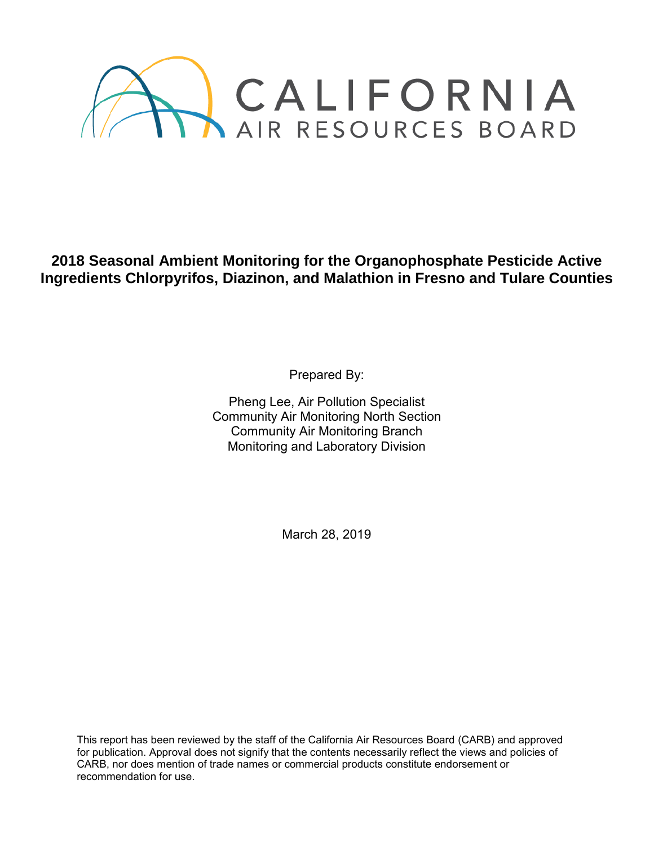

**2018 Seasonal Ambient Monitoring for the Organophosphate Pesticide Active Ingredients Chlorpyrifos, Diazinon, and Malathion in Fresno and Tulare Counties**

Prepared By:

Pheng Lee, Air Pollution Specialist Community Air Monitoring North Section Community Air Monitoring Branch Monitoring and Laboratory Division

March 28, 2019

This report has been reviewed by the staff of the California Air Resources Board (CARB) and approved for publication. Approval does not signify that the contents necessarily reflect the views and policies of CARB, nor does mention of trade names or commercial products constitute endorsement or recommendation for use.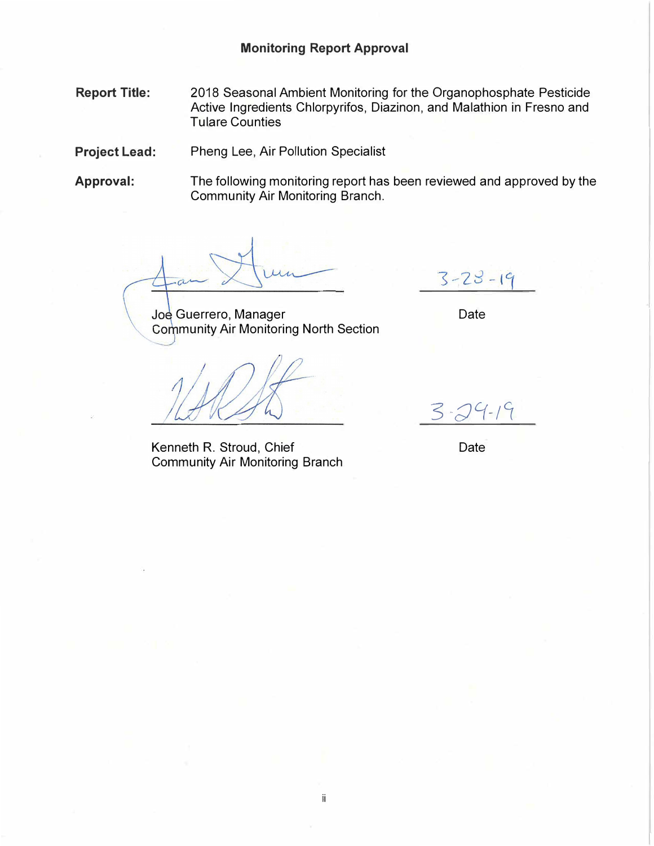**Report Title:**  2018 Seasonal Ambient Monitoring for the Organophosphate Pesticide Active Ingredients Chlorpyrifos, Diazinon, and Malathion in Fresno and Tulare Counties

**Project Lead:** Pheng Lee, Air Pollution Specialist

**Approval:** The following monitoring report has been reviewed and approved by the Community Air Monitoring Branch.

ii

Joe Guerrero, Manager **Community Air Monitoring North Section** 

Kenneth R. Stroud, Chief Community Air Monitoring Branch

 $3 - 23 - 19$ 

Date

 $3 - 24 - 19$ 

Date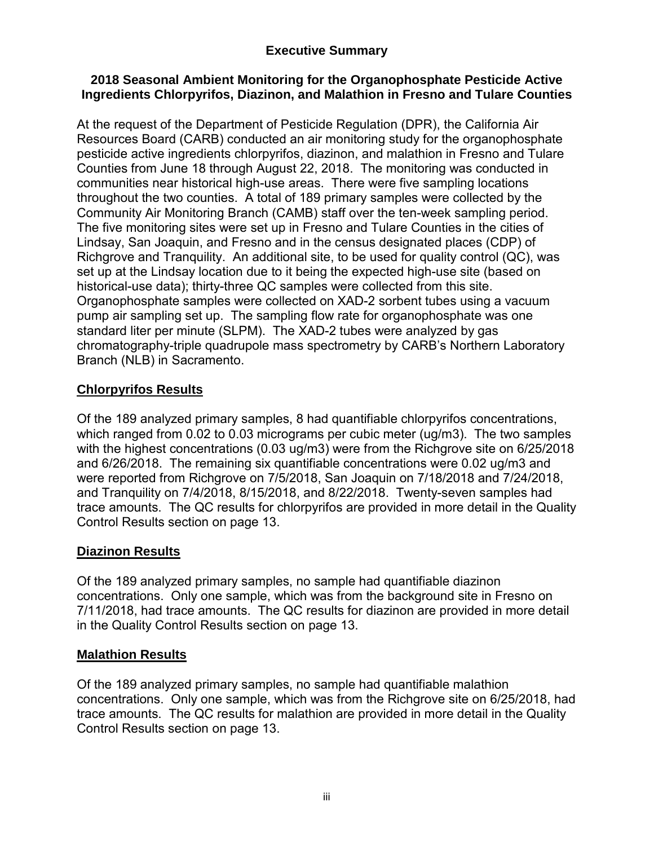## **Executive Summary**

### **2018 Seasonal Ambient Monitoring for the Organophosphate Pesticide Active Ingredients Chlorpyrifos, Diazinon, and Malathion in Fresno and Tulare Counties**

At the request of the Department of Pesticide Regulation (DPR), the California Air Resources Board (CARB) conducted an air monitoring study for the organophosphate pesticide active ingredients chlorpyrifos, diazinon, and malathion in Fresno and Tulare Counties from June 18 through August 22, 2018. The monitoring was conducted in communities near historical high-use areas. There were five sampling locations throughout the two counties. A total of 189 primary samples were collected by the Community Air Monitoring Branch (CAMB) staff over the ten-week sampling period. The five monitoring sites were set up in Fresno and Tulare Counties in the cities of Lindsay, San Joaquin, and Fresno and in the census designated places (CDP) of Richgrove and Tranquility. An additional site, to be used for quality control (QC), was set up at the Lindsay location due to it being the expected high-use site (based on historical-use data); thirty-three QC samples were collected from this site. Organophosphate samples were collected on XAD-2 sorbent tubes using a vacuum pump air sampling set up. The sampling flow rate for organophosphate was one standard liter per minute (SLPM). The XAD-2 tubes were analyzed by gas chromatography-triple quadrupole mass spectrometry by CARB's Northern Laboratory Branch (NLB) in Sacramento.

## **Chlorpyrifos Results**

Of the 189 analyzed primary samples, 8 had quantifiable chlorpyrifos concentrations, which ranged from 0.02 to 0.03 micrograms per cubic meter (ug/m3). The two samples with the highest concentrations (0.03 ug/m3) were from the Richgrove site on 6/25/2018 and 6/26/2018. The remaining six quantifiable concentrations were 0.02 ug/m3 and were reported from Richgrove on 7/5/2018, San Joaquin on 7/18/2018 and 7/24/2018, and Tranquility on 7/4/2018, 8/15/2018, and 8/22/2018. Twenty-seven samples had trace amounts. The QC results for chlorpyrifos are provided in more detail in the Quality Control Results section on page 13.

### **Diazinon Results**

Of the 189 analyzed primary samples, no sample had quantifiable diazinon concentrations. Only one sample, which was from the background site in Fresno on 7/11/2018, had trace amounts. The QC results for diazinon are provided in more detail in the Quality Control Results section on page 13.

### **Malathion Results**

Of the 189 analyzed primary samples, no sample had quantifiable malathion concentrations. Only one sample, which was from the Richgrove site on 6/25/2018, had trace amounts. The QC results for malathion are provided in more detail in the Quality Control Results section on page 13.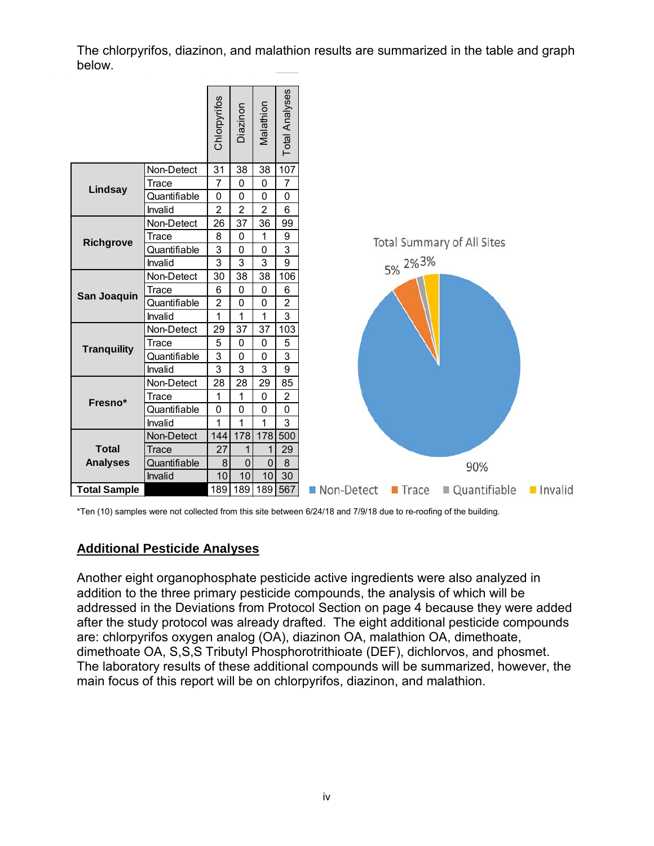The chlorpyrifos, diazinon, and malathion results are summarized in the table and graph below.



\*Ten (10) samples were not collected from this site between 6/24/18 and 7/9/18 due to re-roofing of the building.

### **Additional Pesticide Analyses**

Another eight organophosphate pesticide active ingredients were also analyzed in addition to the three primary pesticide compounds, the analysis of which will be addressed in the Deviations from Protocol Section on page 4 because they were added after the study protocol was already drafted. The eight additional pesticide compounds are: chlorpyrifos oxygen analog (OA), diazinon OA, malathion OA, dimethoate, dimethoate OA, S,S,S Tributyl Phosphorotrithioate (DEF), dichlorvos, and phosmet. The laboratory results of these additional compounds will be summarized, however, the main focus of this report will be on chlorpyrifos, diazinon, and malathion.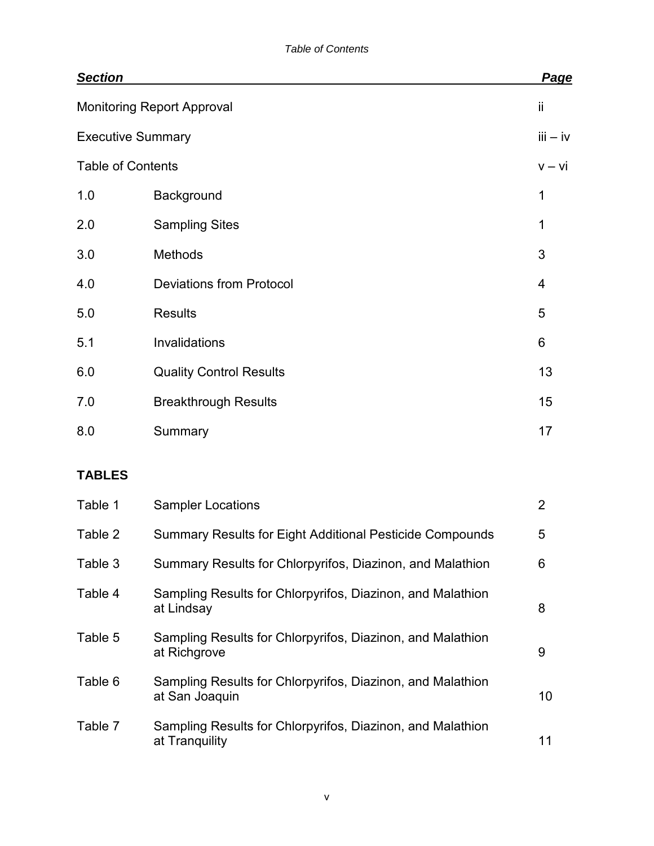| <b>Section</b>           |                                                                              | Page           |
|--------------------------|------------------------------------------------------------------------------|----------------|
|                          | <b>Monitoring Report Approval</b>                                            | ii             |
| <b>Executive Summary</b> |                                                                              | $iii - iv$     |
| <b>Table of Contents</b> |                                                                              | $v - vi$       |
| 1.0                      | Background                                                                   | 1              |
| 2.0                      | <b>Sampling Sites</b>                                                        | 1              |
| 3.0                      | Methods                                                                      | 3              |
| 4.0                      | <b>Deviations from Protocol</b>                                              | 4              |
| 5.0                      | <b>Results</b>                                                               | 5              |
| 5.1                      | Invalidations                                                                | 6              |
| 6.0                      | <b>Quality Control Results</b>                                               | 13             |
| 7.0                      | <b>Breakthrough Results</b>                                                  | 15             |
| 8.0                      | Summary                                                                      | 17             |
| <b>TABLES</b>            |                                                                              |                |
| Table 1                  | <b>Sampler Locations</b>                                                     | $\overline{2}$ |
| Table 2                  | <b>Summary Results for Eight Additional Pesticide Compounds</b>              | 5              |
| Table 3                  | Summary Results for Chlorpyrifos, Diazinon, and Malathion                    | 6              |
| Table 4                  | Sampling Results for Chlorpyrifos, Diazinon, and Malathion<br>at Lindsay     | 8              |
| Table 5                  | Sampling Results for Chlorpyrifos, Diazinon, and Malathion<br>at Richgrove   | 9              |
| Table 6                  | Sampling Results for Chlorpyrifos, Diazinon, and Malathion<br>at San Joaquin | 10             |
| Table 7                  | Sampling Results for Chlorpyrifos, Diazinon, and Malathion<br>at Tranquility | 11             |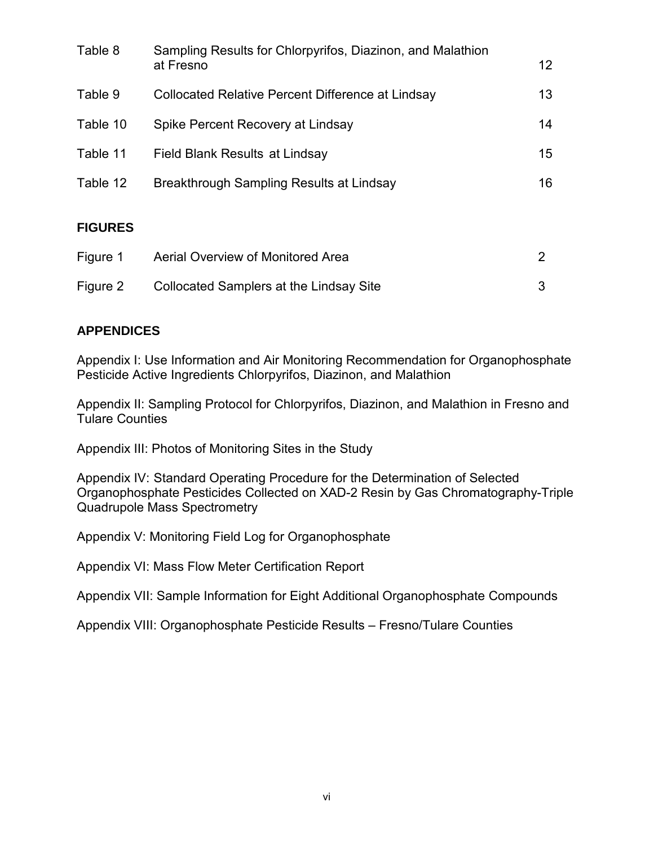| Table 8        | Sampling Results for Chlorpyrifos, Diazinon, and Malathion<br>at Fresno | 12 |
|----------------|-------------------------------------------------------------------------|----|
| Table 9        | Collocated Relative Percent Difference at Lindsay                       | 13 |
| Table 10       | Spike Percent Recovery at Lindsay                                       | 14 |
| Table 11       | Field Blank Results at Lindsay                                          | 15 |
| Table 12       | Breakthrough Sampling Results at Lindsay                                | 16 |
| <b>FIGURES</b> |                                                                         |    |
| Figure 1       | Aerial Overview of Monitored Area                                       | 2  |
| Figure 2       | <b>Collocated Samplers at the Lindsay Site</b>                          | 3  |

### **APPENDICES**

Appendix I: Use Information and Air Monitoring Recommendation for Organophosphate Pesticide Active Ingredients Chlorpyrifos, Diazinon, and Malathion

Appendix II: Sampling Protocol for Chlorpyrifos, Diazinon, and Malathion in Fresno and Tulare Counties

Appendix III: Photos of Monitoring Sites in the Study

Appendix IV: Standard Operating Procedure for the Determination of Selected Organophosphate Pesticides Collected on XAD-2 Resin by Gas Chromatography-Triple Quadrupole Mass Spectrometry

Appendix V: Monitoring Field Log for Organophosphate

Appendix VI: Mass Flow Meter Certification Report

Appendix VII: Sample Information for Eight Additional Organophosphate Compounds

Appendix VIII: Organophosphate Pesticide Results – Fresno/Tulare Counties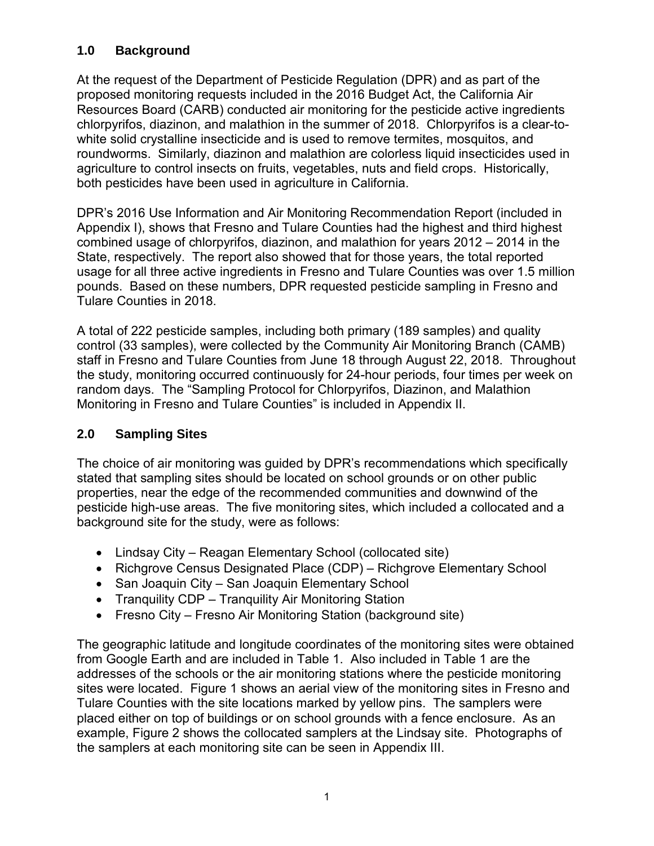## **1.0 Background**

At the request of the Department of Pesticide Regulation (DPR) and as part of the proposed monitoring requests included in the 2016 Budget Act, the California Air Resources Board (CARB) conducted air monitoring for the pesticide active ingredients chlorpyrifos, diazinon, and malathion in the summer of 2018. Chlorpyrifos is a clear-towhite solid crystalline insecticide and is used to remove termites, mosquitos, and roundworms. Similarly, diazinon and malathion are colorless liquid insecticides used in agriculture to control insects on fruits, vegetables, nuts and field crops. Historically, both pesticides have been used in agriculture in California.

DPR's 2016 Use Information and Air Monitoring Recommendation Report (included in Appendix I), shows that Fresno and Tulare Counties had the highest and third highest combined usage of chlorpyrifos, diazinon, and malathion for years 2012 – 2014 in the State, respectively. The report also showed that for those years, the total reported usage for all three active ingredients in Fresno and Tulare Counties was over 1.5 million pounds. Based on these numbers, DPR requested pesticide sampling in Fresno and Tulare Counties in 2018.

A total of 222 pesticide samples, including both primary (189 samples) and quality control (33 samples), were collected by the Community Air Monitoring Branch (CAMB) staff in Fresno and Tulare Counties from June 18 through August 22, 2018. Throughout the study, monitoring occurred continuously for 24-hour periods, four times per week on random days. The "Sampling Protocol for Chlorpyrifos, Diazinon, and Malathion Monitoring in Fresno and Tulare Counties" is included in Appendix II.

# **2.0 Sampling Sites**

The choice of air monitoring was guided by DPR's recommendations which specifically stated that sampling sites should be located on school grounds or on other public properties, near the edge of the recommended communities and downwind of the pesticide high-use areas. The five monitoring sites, which included a collocated and a background site for the study, were as follows:

- Lindsay City Reagan Elementary School (collocated site)
- Richgrove Census Designated Place (CDP) Richgrove Elementary School
- San Joaquin City San Joaquin Elementary School
- Tranquility CDP Tranquility Air Monitoring Station
- Fresno City Fresno Air Monitoring Station (background site)

The geographic latitude and longitude coordinates of the monitoring sites were obtained from Google Earth and are included in Table 1. Also included in Table 1 are the addresses of the schools or the air monitoring stations where the pesticide monitoring sites were located. Figure 1 shows an aerial view of the monitoring sites in Fresno and Tulare Counties with the site locations marked by yellow pins. The samplers were placed either on top of buildings or on school grounds with a fence enclosure. As an example, Figure 2 shows the collocated samplers at the Lindsay site. Photographs of the samplers at each monitoring site can be seen in Appendix III.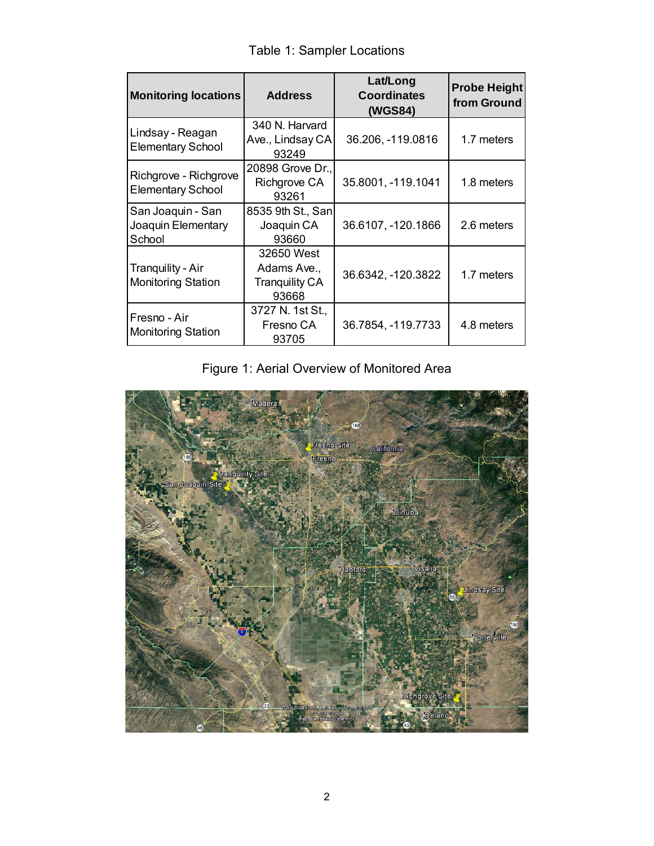| Table 1: Sampler Locations |  |
|----------------------------|--|
|----------------------------|--|

| <b>Monitoring locations</b>                       | <b>Address</b>                                              | Lat/Long<br><b>Coordinates</b><br>(WGS84) | <b>Probe Height</b><br>from Ground |
|---------------------------------------------------|-------------------------------------------------------------|-------------------------------------------|------------------------------------|
| Lindsay - Reagan<br><b>Elementary School</b>      | 340 N. Harvard<br>Ave., Lindsay CA<br>93249                 | 36.206, -119.0816                         | 1.7 meters                         |
| Richgrove - Richgrove<br><b>Elementary School</b> | 20898 Grove Dr.,<br><b>Richgrove CA</b><br>93261            | 35.8001, -119.1041                        | 1.8 meters                         |
| San Joaquin - San<br>Joaquin Elementary<br>School | 8535 9th St., San<br>Joaquin CA<br>93660                    | 36.6107, -120.1866                        | 2.6 meters                         |
| Tranquility - Air<br><b>Monitoring Station</b>    | 32650 West<br>Adams Ave.,<br><b>Tranquility CA</b><br>93668 | 36.6342, -120.3822                        | 1.7 meters                         |
| Fresno - Air<br><b>Monitoring Station</b>         | 3727 N. 1st St.,<br>Fresno CA<br>93705                      | 36.7854, -119.7733                        | 4.8 meters                         |

# Figure 1: Aerial Overview of Monitored Area

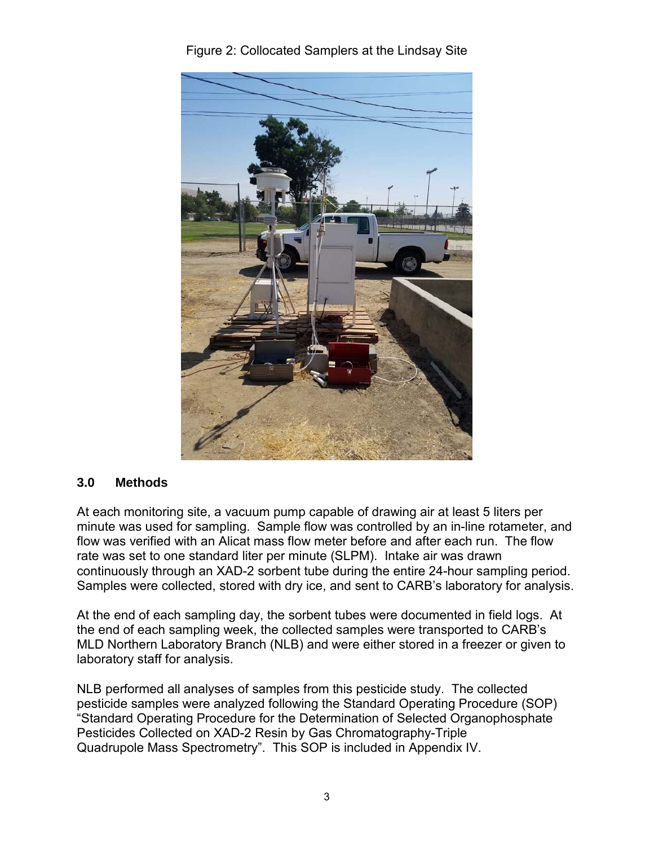

Figure 2: Collocated Samplers at the Lindsay Site

#### **3.0 Methods**

At each monitoring site, a vacuum pump capable of drawing air at least 5 liters per minute was used for sampling. Sample flow was controlled by an in-line rotameter, and flow was verified with an Alicat mass flow meter before and after each run. The flow rate was set to one standard liter per minute (SLPM). Intake air was drawn continuously through an XAD-2 sorbent tube during the entire 24-hour sampling period. Samples were collected, stored with dry ice, and sent to CARB's laboratory for analysis.

At the end of each sampling day, the sorbent tubes were documented in field logs. At the end of each sampling week, the collected samples were transported to CARB's MLD Northern Laboratory Branch (NLB) and were either stored in a freezer or given to laboratory staff for analysis.

NLB performed all analyses of samples from this pesticide study. The collected pesticide samples were analyzed following the Standard Operating Procedure (SOP) "Standard Operating Procedure for the Determination of Selected Organophosphate Pesticides Collected on XAD-2 Resin by Gas Chromatography-Triple Quadrupole Mass Spectrometry". This SOP is included in Appendix IV.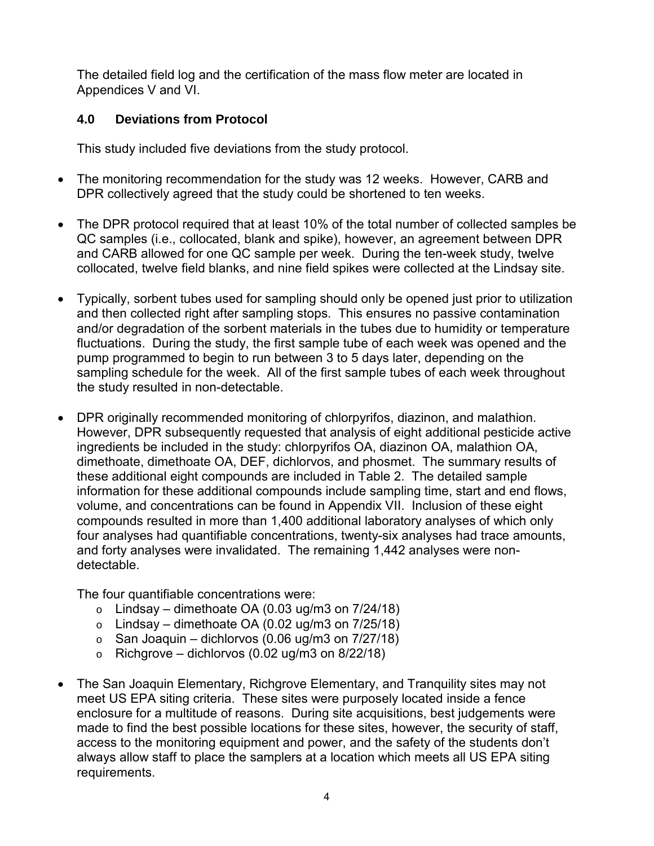The detailed field log and the certification of the mass flow meter are located in Appendices V and VI.

## **4.0 Deviations from Protocol**

This study included five deviations from the study protocol.

- The monitoring recommendation for the study was 12 weeks. However, CARB and DPR collectively agreed that the study could be shortened to ten weeks.
- The DPR protocol required that at least 10% of the total number of collected samples be QC samples (i.e., collocated, blank and spike), however, an agreement between DPR and CARB allowed for one QC sample per week. During the ten-week study, twelve collocated, twelve field blanks, and nine field spikes were collected at the Lindsay site.
- Typically, sorbent tubes used for sampling should only be opened just prior to utilization and then collected right after sampling stops. This ensures no passive contamination and/or degradation of the sorbent materials in the tubes due to humidity or temperature fluctuations. During the study, the first sample tube of each week was opened and the pump programmed to begin to run between 3 to 5 days later, depending on the sampling schedule for the week. All of the first sample tubes of each week throughout the study resulted in non-detectable.
- DPR originally recommended monitoring of chlorpyrifos, diazinon, and malathion. However, DPR subsequently requested that analysis of eight additional pesticide active ingredients be included in the study: chlorpyrifos OA, diazinon OA, malathion OA, dimethoate, dimethoate OA, DEF, dichlorvos, and phosmet. The summary results of these additional eight compounds are included in Table 2. The detailed sample information for these additional compounds include sampling time, start and end flows, volume, and concentrations can be found in Appendix VII. Inclusion of these eight compounds resulted in more than 1,400 additional laboratory analyses of which only four analyses had quantifiable concentrations, twenty-six analyses had trace amounts, and forty analyses were invalidated. The remaining 1,442 analyses were nondetectable.

The four quantifiable concentrations were:

- $\circ$  Lindsay dimethoate OA (0.03 ug/m3 on 7/24/18)
- $\circ$  Lindsay dimethoate OA (0.02 ug/m3 on 7/25/18)
- $\circ$  San Joaquin dichlorvos (0.06 ug/m3 on 7/27/18)
- $\circ$  Richgrove dichlorvos (0.02 ug/m3 on 8/22/18)
- The San Joaquin Elementary, Richgrove Elementary, and Tranquility sites may not meet US EPA siting criteria. These sites were purposely located inside a fence enclosure for a multitude of reasons. During site acquisitions, best judgements were made to find the best possible locations for these sites, however, the security of staff, access to the monitoring equipment and power, and the safety of the students don't always allow staff to place the samplers at a location which meets all US EPA siting requirements.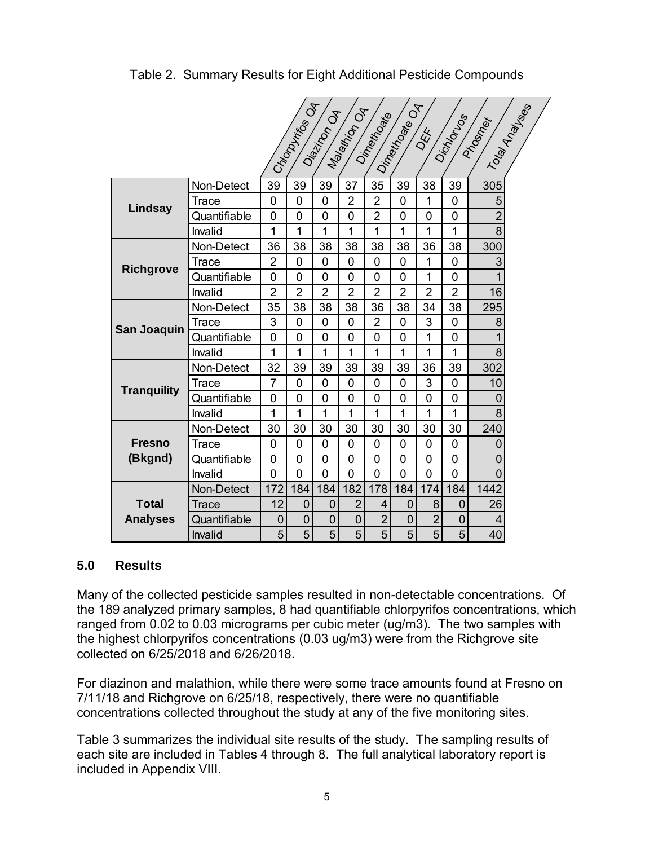Table 2. Summary Results for Eight Additional Pesticide Compounds

|                    | Chaptaintes OA<br>I Toky Analysises<br>Dinetto ate OA<br>Malation OA<br>Diazinon Od<br>Dimetricate<br>Dichidrus<br>Progmer |                |                |                |                |                |                |                |                |                |  |
|--------------------|----------------------------------------------------------------------------------------------------------------------------|----------------|----------------|----------------|----------------|----------------|----------------|----------------|----------------|----------------|--|
|                    |                                                                                                                            |                |                |                |                |                |                | OEE            |                |                |  |
|                    | Non-Detect                                                                                                                 | 39             | 39             | 39             | 37             | 35             | 39             | 38             | 39             | 305            |  |
| Lindsay            | Trace                                                                                                                      | 0              | 0              | $\overline{0}$ | $\overline{2}$ | $\overline{2}$ | $\mathbf{0}$   | 1              | 0              | 5              |  |
|                    | Quantifiable                                                                                                               | 0              | 0              | 0              | $\overline{0}$ | $\overline{2}$ | 0              | $\mathbf 0$    | 0              | $\overline{2}$ |  |
|                    | Invalid                                                                                                                    | 1              | 1              | 1              | 1              | 1              | 1              | 1              | 1              | 8              |  |
|                    | Non-Detect                                                                                                                 | 36             | 38             | 38             | 38             | 38             | 38             | 36             | 38             | 300            |  |
| <b>Richgrove</b>   | Trace                                                                                                                      | 2              | 0              | 0              | 0              | 0              | 0              | 1              | 0              | 3              |  |
|                    | Quantifiable                                                                                                               | $\overline{0}$ | $\overline{0}$ | $\overline{0}$ | $\overline{0}$ | $\overline{0}$ | $\overline{0}$ | 1              | 0              | 1              |  |
|                    | Invalid                                                                                                                    | $\overline{2}$ | $\overline{2}$ | $\overline{2}$ | $\overline{2}$ | $\overline{2}$ | $\overline{2}$ | $\overline{2}$ | $\overline{2}$ | 16             |  |
| San Joaquin        | Non-Detect                                                                                                                 | 35             | 38             | 38             | 38             | 36             | 38             | 34             | 38             | 295            |  |
|                    | Trace                                                                                                                      | 3              | 0              | 0              | 0              | $\overline{2}$ | 0              | 3              | 0              | 8              |  |
|                    | Quantifiable                                                                                                               | $\overline{0}$ | 0              | 0              | $\overline{0}$ | $\overline{0}$ | $\overline{0}$ | 1              | 0              | 1              |  |
|                    | Invalid                                                                                                                    | 1              | 1              | 1              | 1              | 1              | 1              | 1              | $\overline{1}$ | 8              |  |
|                    | Non-Detect                                                                                                                 | 32             | 39             | 39             | 39             | 39             | 39             | 36             | 39             | 302            |  |
| <b>Tranquility</b> | Trace                                                                                                                      | $\overline{7}$ | $\Omega$       | $\overline{0}$ | $\overline{0}$ | $\overline{0}$ | $\overline{0}$ | 3              | $\overline{0}$ | 10             |  |
|                    | Quantifiable                                                                                                               | 0              | 0              | 0              | 0              | 0              | 0              | $\overline{0}$ | 0              | $\overline{0}$ |  |
|                    | Invalid                                                                                                                    | 1              | 1              | 1              | 1              | 1              | 1              | 1              | 1              | 8              |  |
|                    | Non-Detect                                                                                                                 | 30             | 30             | 30             | 30             | 30             | 30             | 30             | 30             | 240            |  |
| <b>Fresno</b>      | Trace                                                                                                                      | 0              | 0              | 0              | 0              | 0              | 0              | $\overline{0}$ | 0              | 0              |  |
| (Bkgnd)            | Quantifiable                                                                                                               | 0              | 0              | 0              | $\overline{0}$ | 0              | 0              | $\overline{0}$ | 0              | $\overline{0}$ |  |
|                    | Invalid                                                                                                                    | $\overline{0}$ | 0              | 0              | 0              | $\overline{0}$ | 0              | 0              | 0              | $\Omega$       |  |
|                    | Non-Detect                                                                                                                 | 172            | 184            | 184            | 182            | 178            | 184            | 174            | 184            | 1442           |  |
| <b>Total</b>       | Trace                                                                                                                      | 12             | $\mathbf 0$    | $\mathbf 0$    | $\overline{2}$ | 4              | $\mathbf 0$    | 8              | 0              | 26             |  |
| <b>Analyses</b>    | Quantifiable                                                                                                               | 0              | $\mathbf 0$    | $\mathbf 0$    | $\overline{0}$ | $\overline{2}$ | $\mathbf 0$    | $\overline{2}$ | 0              | 4              |  |
|                    | Invalid                                                                                                                    | 5              | 5              | 5              | 5              | 5              | 5              | 5              | 5              | 40             |  |

#### **5.0 Results**

Many of the collected pesticide samples resulted in non-detectable concentrations. Of the 189 analyzed primary samples, 8 had quantifiable chlorpyrifos concentrations, which ranged from 0.02 to 0.03 micrograms per cubic meter (ug/m3). The two samples with the highest chlorpyrifos concentrations (0.03 ug/m3) were from the Richgrove site collected on 6/25/2018 and 6/26/2018.

For diazinon and malathion, while there were some trace amounts found at Fresno on 7/11/18 and Richgrove on 6/25/18, respectively, there were no quantifiable concentrations collected throughout the study at any of the five monitoring sites.

Table 3 summarizes the individual site results of the study. The sampling results of each site are included in Tables 4 through 8. The full analytical laboratory report is included in Appendix VIII.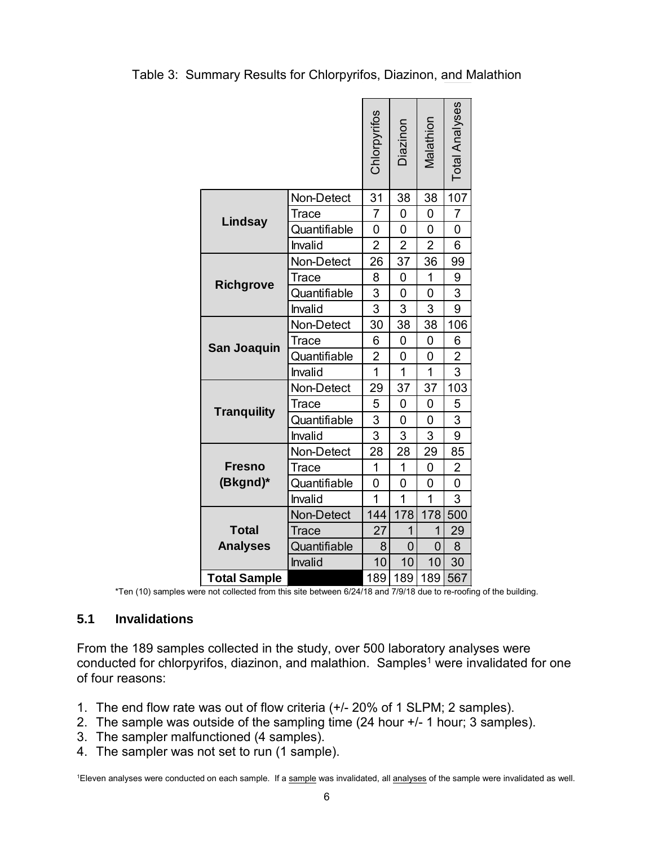Table 3: Summary Results for Chlorpyrifos, Diazinon, and Malathion

|                     |              | Chlorpyrifos   | Diazinon       | Malathion      | <b>Total Analyses</b> |
|---------------------|--------------|----------------|----------------|----------------|-----------------------|
|                     | Non-Detect   | 31             | 38             | 38             | 107                   |
| Lindsay             | Trace        | 7              | 0              | 0              | 7                     |
|                     | Quantifiable | 0              | 0              | 0              | 0                     |
|                     | Invalid      | $\overline{2}$ | $\overline{2}$ | $\overline{2}$ | 6                     |
|                     | Non-Detect   | 26             | 37             | 36             | 99                    |
| <b>Richgrove</b>    | <b>Trace</b> | 8              | 0              | 1              | 9                     |
|                     | Quantifiable | 3              | 0              | 0              | 3                     |
|                     | Invalid      | $\overline{3}$ | 3              | 3              | 9                     |
|                     | Non-Detect   | 30             | 38             | 38             | 106                   |
| <b>San Joaquin</b>  | Trace        | 6              | 0              | 0              | 6                     |
|                     | Quantifiable | $\overline{2}$ | 0              | 0              | 2                     |
|                     | Invalid      | $\overline{1}$ | $\overline{1}$ | $\overline{1}$ | 3                     |
|                     | Non-Detect   | 29             | 37             | 37             | 103                   |
| <b>Tranquility</b>  | Trace        | 5              | 0              | 0              | 5                     |
|                     | Quantifiable | 3              | 0              | 0              | 3                     |
|                     | Invalid      | 3              | 3              | 3              | 9                     |
|                     | Non-Detect   | 28             | 28             | 29             | 85                    |
| <b>Fresno</b>       | Trace        | 1              | 1              | 0              | 2                     |
| (Bkgnd)*            | Quantifiable | 0              | 0              | 0              | 0                     |
|                     | Invalid      | $\overline{1}$ | $\overline{1}$ | $\overline{1}$ | 3                     |
|                     | Non-Detect   | 144            | 178            | 178            | 500                   |
| <b>Total</b>        | Trace        | 27             | $\overline{1}$ | 1              | 29                    |
| <b>Analyses</b>     | Quantifiable | 8              | 0              | 0              | 8                     |
|                     | Invalid      | 10             | 10             | 10             | 30                    |
| <b>Total Sample</b> |              | 189            | 189            | 189            | 567                   |

\*Ten (10) samples were not collected from this site between 6/24/18 and 7/9/18 due to re-roofing of the building.

### **5.1 Invalidations**

From the 189 samples collected in the study, over 500 laboratory analyses were conducted for chlorpyrifos, diazinon, and malathion. Samples<sup>1</sup> were invalidated for one of four reasons:

- 1. The end flow rate was out of flow criteria (+/- 20% of 1 SLPM; 2 samples).
- 2. The sample was outside of the sampling time (24 hour +/- 1 hour; 3 samples).
- 3. The sampler malfunctioned (4 samples).
- 4. The sampler was not set to run (1 sample).

<sup>1</sup>Eleven analyses were conducted on each sample. If a <u>sample</u> was invalidated, all <u>analyses</u> of the sample were invalidated as well.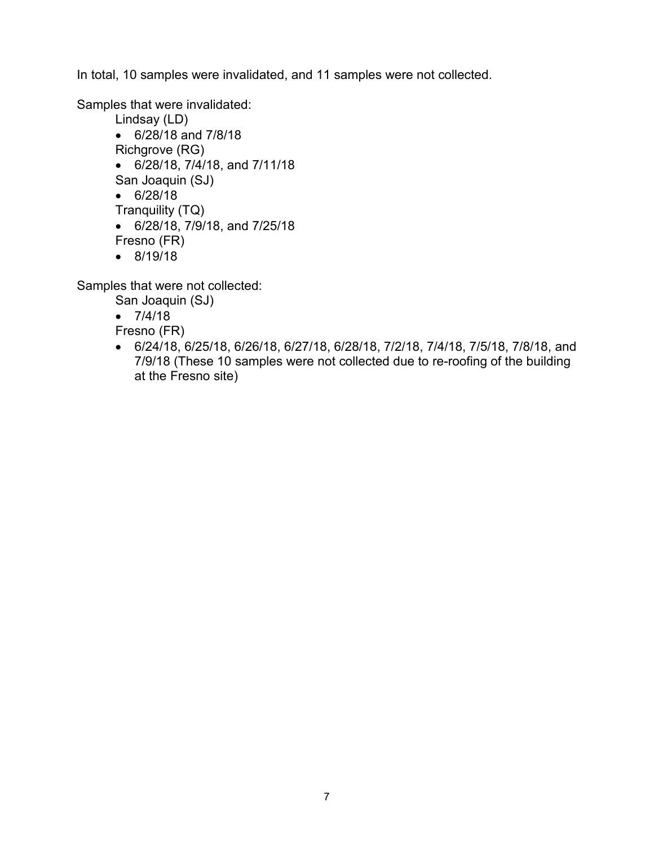In total, 10 samples were invalidated, and 11 samples were not collected.

Samples that were invalidated:

- Lindsay (LD)
- 6/28/18 and 7/8/18
- Richgrove (RG)
- 6/28/18, 7/4/18, and 7/11/18
- San Joaquin (SJ)
- 6/28/18
- Tranquility (TQ)
- 6/28/18, 7/9/18, and 7/25/18
- Fresno (FR)
- 8/19/18

Samples that were not collected:

- San Joaquin (SJ)
- $7/4/18$
- Fresno (FR)
- 6/24/18, 6/25/18, 6/26/18, 6/27/18, 6/28/18, 7/2/18, 7/4/18, 7/5/18, 7/8/18, and 7/9/18 (These 10 samples were not collected due to re-roofing of the building at the Fresno site)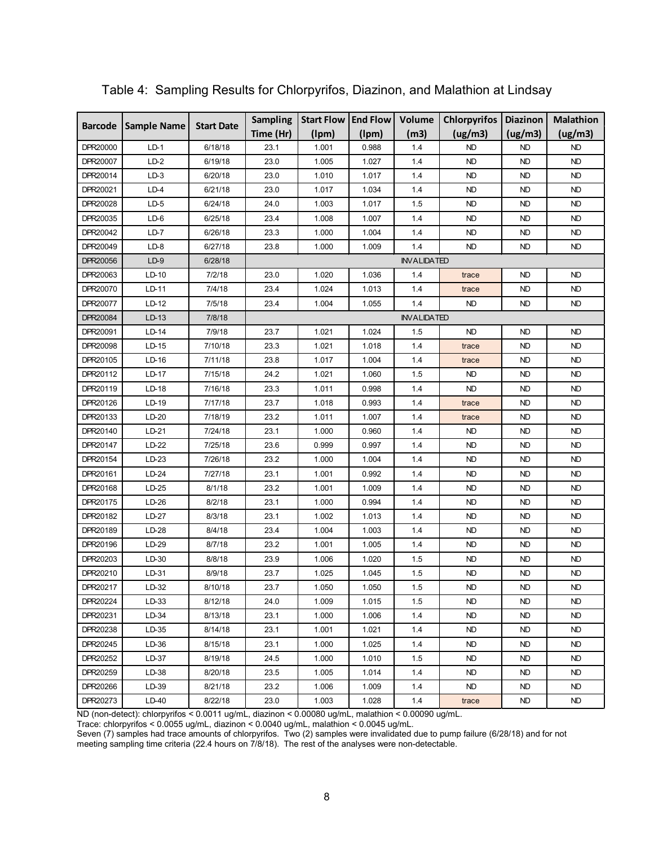|                |                    | <b>Sampling</b>   | <b>Start Flow</b> | <b>End Flow</b>    | Volume | <b>Chlorpyrifos</b> | <b>Diazinon</b> | <b>Malathion</b> |           |  |
|----------------|--------------------|-------------------|-------------------|--------------------|--------|---------------------|-----------------|------------------|-----------|--|
| <b>Barcode</b> | <b>Sample Name</b> | <b>Start Date</b> | Time (Hr)         | (lpm)              | (lpm)  | (m3)                | (ug/m3)         | (ug/m3)          | (ug/m3)   |  |
| DPR20000       | $LD-1$             | 6/18/18           | 23.1              | 1.001              | 0.988  | 1.4                 | <b>ND</b>       | <b>ND</b>        | <b>ND</b> |  |
| DPR20007       | $LD-2$             | 6/19/18           | 23.0              | 1.005              | 1.027  | 1.4                 | <b>ND</b>       | <b>ND</b>        | <b>ND</b> |  |
| DPR20014       | $LD-3$             | 6/20/18           | 23.0              | 1.010              | 1.017  | 1.4                 | <b>ND</b>       | <b>ND</b>        | <b>ND</b> |  |
| DPR20021       | $LD-4$             | 6/21/18           | 23.0              | 1.017              | 1.034  | 1.4                 | <b>ND</b>       | <b>ND</b>        | <b>ND</b> |  |
| DPR20028       | $LD-5$             | 6/24/18           | 24.0              | 1.003              | 1.017  | 1.5                 | <b>ND</b>       | <b>ND</b>        | <b>ND</b> |  |
| DPR20035       | LD-6               | 6/25/18           | 23.4              | 1.008              | 1.007  | 1.4                 | ND              | ND               | <b>ND</b> |  |
| DPR20042       | LD-7               | 6/26/18           | 23.3              | 1.000              | 1.004  | 1.4                 | <b>ND</b>       | <b>ND</b>        | <b>ND</b> |  |
| DPR20049       | $LD-8$             | 6/27/18           | 23.8              | 1.000              | 1.009  | 1.4                 | <b>ND</b>       | <b>ND</b>        | <b>ND</b> |  |
| DPR20056       | $LD-9$             | 6/28/18           |                   | <b>INVALIDATED</b> |        |                     |                 |                  |           |  |
| DPR20063       | LD-10              | 7/2/18            | 23.0              | 1.020              | 1.036  | 1.4                 | trace           | <b>ND</b>        | <b>ND</b> |  |
| DPR20070       | LD-11              | 7/4/18            | 23.4              | 1.024              | 1.013  | 1.4                 | trace           | <b>ND</b>        | <b>ND</b> |  |
| DPR20077       | LD-12              | 7/5/18            | 23.4              | 1.004              | 1.055  | 1.4                 | <b>ND</b>       | <b>ND</b>        | <b>ND</b> |  |
| DPR20084       | LD-13              | 7/8/18            |                   | <b>INVALIDATED</b> |        |                     |                 |                  |           |  |
| DPR20091       | LD-14              | 7/9/18            | 23.7              | 1.021              | 1.024  | 1.5                 | <b>ND</b>       | <b>ND</b>        | <b>ND</b> |  |
| DPR20098       | LD-15              | 7/10/18           | 23.3              | 1.021              | 1.018  | 1.4                 | trace           | <b>ND</b>        | <b>ND</b> |  |
| DPR20105       | LD-16              | 7/11/18           | 23.8              | 1.017              | 1.004  | 1.4                 | trace           | <b>ND</b>        | <b>ND</b> |  |
| DPR20112       | LD-17              | 7/15/18           | 24.2              | 1.021              | 1.060  | 1.5                 | <b>ND</b>       | <b>ND</b>        | <b>ND</b> |  |
| DPR20119       | LD-18              | 7/16/18           | 23.3              | 1.011              | 0.998  | 1.4                 | <b>ND</b>       | <b>ND</b>        | <b>ND</b> |  |
| DPR20126       | LD-19              | 7/17/18           | 23.7              | 1.018              | 0.993  | 1.4                 | trace           | <b>ND</b>        | <b>ND</b> |  |
| DPR20133       | LD-20              | 7/18/19           | 23.2              | 1.011              | 1.007  | 1.4                 | trace           | <b>ND</b>        | ND        |  |
| DPR20140       | LD-21              | 7/24/18           | 23.1              | 1.000              | 0.960  | 1.4                 | ND              | ND               | ND        |  |
| DPR20147       | LD-22              | 7/25/18           | 23.6              | 0.999              | 0.997  | 1.4                 | <b>ND</b>       | <b>ND</b>        | <b>ND</b> |  |
| DPR20154       | LD-23              | 7/26/18           | 23.2              | 1.000              | 1.004  | 1.4                 | <b>ND</b>       | <b>ND</b>        | <b>ND</b> |  |
| DPR20161       | LD-24              | 7/27/18           | 23.1              | 1.001              | 0.992  | 1.4                 | <b>ND</b>       | <b>ND</b>        | <b>ND</b> |  |
| DPR20168       | LD-25              | 8/1/18            | 23.2              | 1.001              | 1.009  | 1.4                 | <b>ND</b>       | <b>ND</b>        | <b>ND</b> |  |
| DPR20175       | LD-26              | 8/2/18            | 23.1              | 1.000              | 0.994  | 1.4                 | <b>ND</b>       | <b>ND</b>        | <b>ND</b> |  |
| DPR20182       | LD-27              | 8/3/18            | 23.1              | 1.002              | 1.013  | 1.4                 | ND              | <b>ND</b>        | <b>ND</b> |  |
| DPR20189       | LD-28              | 8/4/18            | 23.4              | 1.004              | 1.003  | 1.4                 | <b>ND</b>       | <b>ND</b>        | <b>ND</b> |  |
| DPR20196       | LD-29              | 8/7/18            | 23.2              | 1.001              | 1.005  | 1.4                 | <b>ND</b>       | <b>ND</b>        | <b>ND</b> |  |
| DPR20203       | LD-30              | 8/8/18            | 23.9              | 1.006              | 1.020  | 1.5                 | ND              | ND               | ND        |  |
| DPR20210       | LD-31              | 8/9/18            | 23.7              | 1.025              | 1.045  | 1.5                 | <b>ND</b>       | <b>ND</b>        | <b>ND</b> |  |
| DPR20217       | LD-32              | 8/10/18           | 23.7              | 1.050              | 1.050  | 1.5                 | <b>ND</b>       | <b>ND</b>        | <b>ND</b> |  |
| DPR20224       | LD-33              | 8/12/18           | 24.0              | 1.009              | 1.015  | 1.5                 | <b>ND</b>       | ND               | ND        |  |
| DPR20231       | LD-34              | 8/13/18           | 23.1              | 1.000              | 1.006  | 1.4                 | ND.             | ND.              | ND.       |  |
| DPR20238       | LD-35              | 8/14/18           | 23.1              | 1.001              | 1.021  | 1.4                 | ND              | ND               | ND.       |  |
| DPR20245       | LD-36              | 8/15/18           | 23.1              | 1.000              | 1.025  | 1.4                 | ND              | ND               | ND.       |  |
| DPR20252       | LD-37              | 8/19/18           | 24.5              | 1.000              | 1.010  | 1.5                 | <b>ND</b>       | ND               | ND        |  |
| DPR20259       | LD-38              | 8/20/18           | 23.5              | 1.005              | 1.014  | 1.4                 | <b>ND</b>       | ND               | ND        |  |
| DPR20266       | LD-39              | 8/21/18           | 23.2              | 1.006              | 1.009  | 1.4                 | ND              | ND.              | ND        |  |
| DPR20273       | LD-40              | 8/22/18           | 23.0              | 1.003              | 1.028  | 1.4                 | trace           | ND               | ND        |  |

Table 4: Sampling Results for Chlorpyrifos, Diazinon, and Malathion at Lindsay

ND (non-detect): chlorpyrifos < 0.0011 ug/mL, diazinon < 0.00080 ug/mL, malathion < 0.00090 ug/mL.

Trace: chlorpyrifos < 0.0055 ug/mL, diazinon < 0.0040 ug/mL, malathion < 0.0045 ug/mL.

Seven (7) samples had trace amounts of chlorpyrifos. Two (2) samples were invalidated due to pump failure (6/28/18) and for not meeting sampling time criteria (22.4 hours on 7/8/18). The rest of the analyses were non-detectable.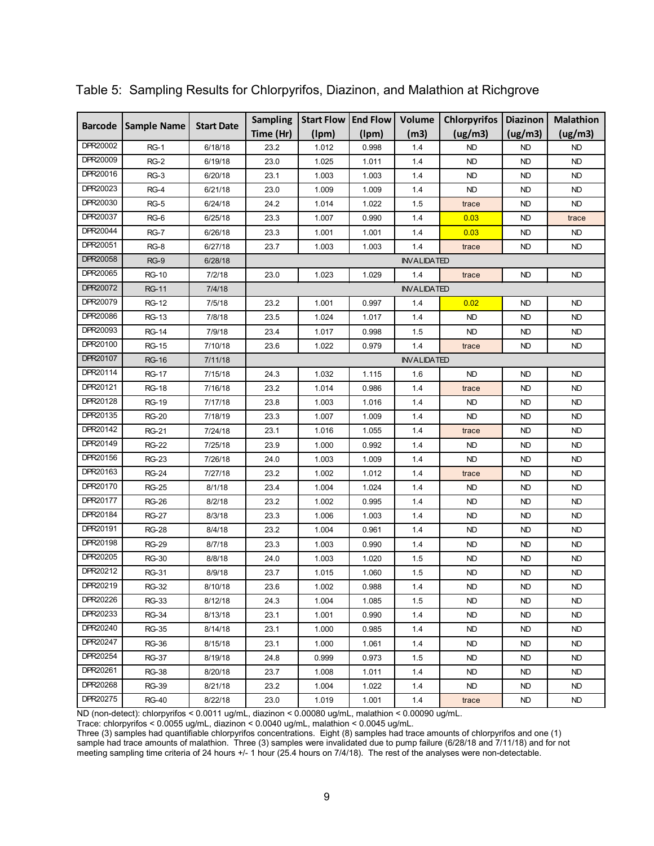| <b>Barcode</b><br><b>Sample Name</b> |              | <b>Start Date</b> | <b>Sampling</b> | Start Flow   End Flow |       | Volume             | <b>Chlorpyrifos</b> | Diazinon  | <b>Malathion</b> |  |
|--------------------------------------|--------------|-------------------|-----------------|-----------------------|-------|--------------------|---------------------|-----------|------------------|--|
|                                      |              |                   | Time (Hr)       | (lpm)                 | (lpm) | (m3)               | (ug/m3)             | (ug/m3)   | (ug/m3)          |  |
| DPR20002                             | <b>RG-1</b>  | 6/18/18           | 23.2            | 1.012                 | 0.998 | 1.4                | <b>ND</b>           | <b>ND</b> | <b>ND</b>        |  |
| DPR20009                             | $RG-2$       | 6/19/18           | 23.0            | 1.025                 | 1.011 | 1.4                | <b>ND</b>           | <b>ND</b> | ND               |  |
| DPR20016                             | $RG-3$       | 6/20/18           | 23.1            | 1.003                 | 1.003 | 1.4                | <b>ND</b>           | <b>ND</b> | ND.              |  |
| DPR20023                             | $RG-4$       | 6/21/18           | 23.0            | 1.009                 | 1.009 | 1.4                | <b>ND</b>           | <b>ND</b> | ND.              |  |
| DPR20030                             | $RG-5$       | 6/24/18           | 24.2            | 1.014                 | 1.022 | 1.5                | trace               | <b>ND</b> | ND.              |  |
| DPR20037                             | $RG-6$       | 6/25/18           | 23.3            | 1.007                 | 0.990 | 1.4                | 0.03                | <b>ND</b> | trace            |  |
| DPR20044                             | <b>RG-7</b>  | 6/26/18           | 23.3            | 1.001                 | 1.001 | 1.4                | 0.03                | <b>ND</b> | ND.              |  |
| DPR20051                             | $RG-8$       | 6/27/18           | 23.7            | 1.003                 | 1.003 | 1.4                | trace               | <b>ND</b> | <b>ND</b>        |  |
| DPR20058                             | $RG-9$       | 6/28/18           |                 |                       |       | <b>INVALIDATED</b> |                     |           |                  |  |
| DPR20065                             | <b>RG-10</b> | 7/2/18            | 23.0            | 1.023                 | 1.029 | 1.4                | trace               | ND        | ND               |  |
| DPR20072                             | <b>RG-11</b> | 7/4/18            |                 |                       |       | <b>INVALIDATED</b> |                     |           |                  |  |
| DPR20079                             | RG-12        | 7/5/18            | 23.2            | 1.001                 | 0.997 | 1.4                | 0.02                | ND        | ND.              |  |
| DPR20086                             | <b>RG-13</b> | 7/8/18            | 23.5            | 1.024                 | 1.017 | 1.4                | <b>ND</b>           | <b>ND</b> | ND               |  |
| DPR20093                             | <b>RG-14</b> | 7/9/18            | 23.4            | 1.017                 | 0.998 | 1.5                | <b>ND</b>           | <b>ND</b> | ND               |  |
| DPR20100                             | <b>RG-15</b> | 7/10/18           | 23.6            | 1.022                 | 0.979 | 1.4                | trace               | <b>ND</b> | <b>ND</b>        |  |
| DPR20107                             | <b>RG-16</b> | 7/11/18           |                 | <b>INVALIDATED</b>    |       |                    |                     |           |                  |  |
| DPR20114                             | <b>RG-17</b> | 7/15/18           | 24.3            | 1.032                 | 1.115 | 1.6                | <b>ND</b>           | <b>ND</b> | ND.              |  |
| DPR20121                             | <b>RG-18</b> | 7/16/18           | 23.2            | 1.014                 | 0.986 | 1.4                | trace               | <b>ND</b> | ND               |  |
| DPR20128                             | <b>RG-19</b> | 7/17/18           | 23.8            | 1.003                 | 1.016 | 1.4                | <b>ND</b>           | <b>ND</b> | <b>ND</b>        |  |
| DPR20135                             | <b>RG-20</b> | 7/18/19           | 23.3            | 1.007                 | 1.009 | 1.4                | <b>ND</b>           | <b>ND</b> | <b>ND</b>        |  |
| DPR20142                             | <b>RG-21</b> | 7/24/18           | 23.1            | 1.016                 | 1.055 | 1.4                | trace               | ND        | ND               |  |
| DPR20149                             | <b>RG-22</b> | 7/25/18           | 23.9            | 1.000                 | 0.992 | 1.4                | <b>ND</b>           | <b>ND</b> | <b>ND</b>        |  |
| DPR20156                             | <b>RG-23</b> | 7/26/18           | 24.0            | 1.003                 | 1.009 | 1.4                | <b>ND</b>           | <b>ND</b> | ND.              |  |
| DPR20163                             | <b>RG-24</b> | 7/27/18           | 23.2            | 1.002                 | 1.012 | 1.4                | trace               | <b>ND</b> | ND.              |  |
| DPR20170                             | <b>RG-25</b> | 8/1/18            | 23.4            | 1.004                 | 1.024 | 1.4                | ND                  | ND        | ND.              |  |
| DPR20177                             | <b>RG-26</b> | 8/2/18            | 23.2            | 1.002                 | 0.995 | 1.4                | ND                  | ND        | ND               |  |
| DPR20184                             | <b>RG-27</b> | 8/3/18            | 23.3            | 1.006                 | 1.003 | 1.4                | <b>ND</b>           | <b>ND</b> | <b>ND</b>        |  |
| DPR20191                             | <b>RG-28</b> | 8/4/18            | 23.2            | 1.004                 | 0.961 | 1.4                | <b>ND</b>           | <b>ND</b> | <b>ND</b>        |  |
| DPR20198                             | <b>RG-29</b> | 8/7/18            | 23.3            | 1.003                 | 0.990 | 1.4                | <b>ND</b>           | <b>ND</b> | <b>ND</b>        |  |
| DPR20205                             | <b>RG-30</b> | 8/8/18            | 24.0            | 1.003                 | 1.020 | 1.5                | <b>ND</b>           | <b>ND</b> | ND               |  |
| DPR20212                             | <b>RG-31</b> | 8/9/18            | 23.7            | 1.015                 | 1.060 | 1.5                | ND                  | <b>ND</b> | ND               |  |
| DPR20219                             | <b>RG-32</b> | 8/10/18           | 23.6            | 1.002                 | 0.988 | 1.4                | ND                  | ND        | ND.              |  |
| DPR20226                             | <b>RG-33</b> | 8/12/18           | 24.3            | 1.004                 | 1.085 | 1.5                | ND.                 | ND.       | ND.              |  |
| DPR20233                             | <b>RG-34</b> | 8/13/18           | 23.1            | 1.001                 | 0.990 | 1.4                | ND                  | ND.       | ND.              |  |
| DPR20240                             | <b>RG-35</b> | 8/14/18           | 23.1            | 1.000                 | 0.985 | 1.4                | ND.                 | ND.       | ND.              |  |
| DPR20247                             | <b>RG-36</b> | 8/15/18           | 23.1            | 1.000                 | 1.061 | 1.4                | ND                  | ND        | ND.              |  |
| DPR20254                             | <b>RG-37</b> | 8/19/18           | 24.8            | 0.999                 | 0.973 | 1.5                | ND.                 | ND.       | ND.              |  |
| DPR20261                             | <b>RG-38</b> | 8/20/18           | 23.7            | 1.008                 | 1.011 | 1.4                | ND                  | ND.       | ND.              |  |
| DPR20268                             | RG-39        | 8/21/18           | 23.2            | 1.004                 | 1.022 | 1.4                | ND.                 | ND.       | ND.              |  |
| DPR20275                             | <b>RG-40</b> | 8/22/18           | 23.0            | 1.019                 | 1.001 | 1.4                | trace               | ND.       | ND.              |  |

Table 5: Sampling Results for Chlorpyrifos, Diazinon, and Malathion at Richgrove

ND (non-detect): chlorpyrifos < 0.0011 ug/mL, diazinon < 0.00080 ug/mL, malathion < 0.00090 ug/mL.

Trace: chlorpyrifos < 0.0055 ug/mL, diazinon < 0.0040 ug/mL, malathion < 0.0045 ug/mL.

Three (3) samples had quantifiable chlorpyrifos concentrations. Eight (8) samples had trace amounts of chlorpyrifos and one (1) sample had trace amounts of malathion. Three (3) samples were invalidated due to pump failure (6/28/18 and 7/11/18) and for not meeting sampling time criteria of 24 hours +/- 1 hour (25.4 hours on 7/4/18). The rest of the analyses were non-detectable.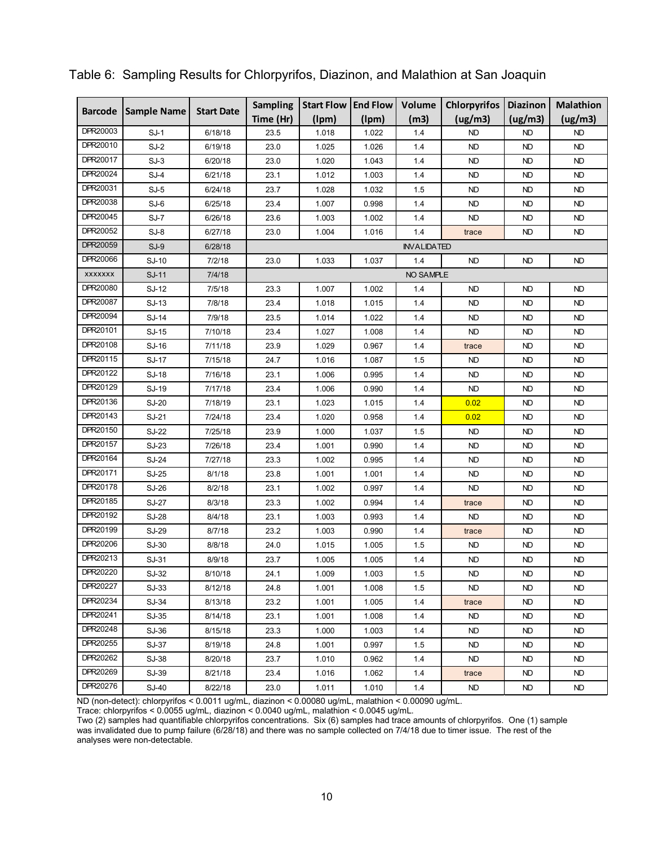| <b>Sample Name</b><br><b>Barcode</b> | <b>Start Date</b> | <b>Sampling</b> | <b>Start Flow</b> | <b>End Flow</b> | Volume | <b>Chlorpyrifos</b> | <b>Diazinon</b> | <b>Malathion</b> |           |
|--------------------------------------|-------------------|-----------------|-------------------|-----------------|--------|---------------------|-----------------|------------------|-----------|
|                                      |                   |                 | Time (Hr)         | (lpm)           | (lpm)  | (m3)                | (ug/m3)         | (ug/m3)          | (ug/m3)   |
| DPR20003                             | $SJ-1$            | 6/18/18         | 23.5              | 1.018           | 1.022  | 1.4                 | <b>ND</b>       | ND               | <b>ND</b> |
| DPR20010                             | $SJ-2$            | 6/19/18         | 23.0              | 1.025           | 1.026  | 1.4                 | <b>ND</b>       | ND               | <b>ND</b> |
| DPR20017                             | $SJ-3$            | 6/20/18         | 23.0              | 1.020           | 1.043  | 1.4                 | <b>ND</b>       | ND               | <b>ND</b> |
| DPR20024                             | $SJ-4$            | 6/21/18         | 23.1              | 1.012           | 1.003  | 1.4                 | <b>ND</b>       | ND               | <b>ND</b> |
| DPR20031                             | $SJ-5$            | 6/24/18         | 23.7              | 1.028           | 1.032  | 1.5                 | <b>ND</b>       | ND               | <b>ND</b> |
| DPR20038                             | $SJ-6$            | 6/25/18         | 23.4              | 1.007           | 0.998  | 1.4                 | <b>ND</b>       | ND               | <b>ND</b> |
| DPR20045                             | $SJ-7$            | 6/26/18         | 23.6              | 1.003           | 1.002  | 1.4                 | ND              | ND               | ND        |
| DPR20052                             | SJ-8              | 6/27/18         | 23.0              | 1.004           | 1.016  | 1.4                 | trace           | ND               | ND        |
| DPR20059                             | $SJ-9$            | 6/28/18         |                   |                 |        | <b>INVALIDATED</b>  |                 |                  |           |
| DPR20066                             | SJ-10             | 7/2/18          | 23.0              | 1.033           | 1.037  | 1.4                 | <b>ND</b>       | <b>ND</b>        | <b>ND</b> |
| <b>XXXXXXX</b>                       | SJ-11             | 7/4/18          |                   |                 |        | NO SAMPLE           |                 |                  |           |
| DPR20080                             | SJ-12             | 7/5/18          | 23.3              | 1.007           | 1.002  | 1.4                 | <b>ND</b>       | ND               | <b>ND</b> |
| DPR20087                             | SJ-13             | 7/8/18          | 23.4              | 1.018           | 1.015  | 1.4                 | <b>ND</b>       | ND               | <b>ND</b> |
| DPR20094                             | SJ-14             | 7/9/18          | 23.5              | 1.014           | 1.022  | 1.4                 | <b>ND</b>       | ND               | <b>ND</b> |
| DPR20101                             | SJ-15             | 7/10/18         | 23.4              | 1.027           | 1.008  | 1.4                 | <b>ND</b>       | ND               | <b>ND</b> |
| DPR20108                             | SJ-16             | 7/11/18         | 23.9              | 1.029           | 0.967  | 1.4                 | trace           | ND               | ND        |
| DPR20115                             | SJ-17             | 7/15/18         | 24.7              | 1.016           | 1.087  | 1.5                 | ND              | ND               | ND        |
| DPR20122                             | SJ-18             | 7/16/18         | 23.1              | 1.006           | 0.995  | 1.4                 | <b>ND</b>       | ND               | <b>ND</b> |
| DPR20129                             | SJ-19             | 7/17/18         | 23.4              | 1.006           | 0.990  | 1.4                 | <b>ND</b>       | ND               | <b>ND</b> |
| DPR20136                             | SJ-20             | 7/18/19         | 23.1              | 1.023           | 1.015  | 1.4                 | 0.02            | <b>ND</b>        | <b>ND</b> |
| DPR20143                             | SJ-21             | 7/24/18         | 23.4              | 1.020           | 0.958  | 1.4                 | 0.02            | <b>ND</b>        | <b>ND</b> |
| DPR20150                             | SJ-22             | 7/25/18         | 23.9              | 1.000           | 1.037  | 1.5                 | <b>ND</b>       | ND               | <b>ND</b> |
| DPR20157                             | SJ-23             | 7/26/18         | 23.4              | 1.001           | 0.990  | 1.4                 | <b>ND</b>       | ND               | <b>ND</b> |
| DPR20164                             | SJ-24             | 7/27/18         | 23.3              | 1.002           | 0.995  | 1.4                 | <b>ND</b>       | <b>ND</b>        | <b>ND</b> |
| DPR20171                             | SJ-25             | 8/1/18          | 23.8              | 1.001           | 1.001  | 1.4                 | <b>ND</b>       | ND               | ND        |
| DPR20178                             | SJ-26             | 8/2/18          | 23.1              | 1.002           | 0.997  | 1.4                 | <b>ND</b>       | ND               | <b>ND</b> |
| DPR20185                             | <b>SJ-27</b>      | 8/3/18          | 23.3              | 1.002           | 0.994  | 1.4                 | trace           | ND               | <b>ND</b> |
| DPR20192                             | <b>SJ-28</b>      | 8/4/18          | 23.1              | 1.003           | 0.993  | 1.4                 | <b>ND</b>       | ND               | <b>ND</b> |
| DPR20199                             | SJ-29             | 8/7/18          | 23.2              | 1.003           | 0.990  | 1.4                 | trace           | ND               | <b>ND</b> |
| DPR20206                             | SJ-30             | 8/8/18          | 24.0              | 1.015           | 1.005  | 1.5                 | <b>ND</b>       | ND               | <b>ND</b> |
| DPR20213                             | SJ-31             | 8/9/18          | 23.7              | 1.005           | 1.005  | 1.4                 | <b>ND</b>       | ND               | <b>ND</b> |
| DPR20220                             | SJ-32             | 8/10/18         | 24.1              | 1.009           | 1.003  | 1.5                 | ND              | ND               | ND        |
| DPR20227                             | SJ-33             | 8/12/18         | 24.8              | 1.001           | 1.008  | 1.5                 | ND              | ND.              | ND        |
| DPR20234                             | SJ-34             | 8/13/18         | 23.2              | 1.001           | 1.005  | 1.4                 | trace           | ND.              | <b>ND</b> |
| DPR20241                             | SJ-35             | 8/14/18         | 23.1              | 1.001           | 1.008  | 1.4                 | ND              | ND.              | ND.       |
| DPR20248                             | SJ-36             | 8/15/18         | 23.3              | 1.000           | 1.003  | 1.4                 | ND              | ND               | ND        |
| DPR20255                             | SJ-37             | 8/19/18         | 24.8              | 1.001           | 0.997  | 1.5                 | <b>ND</b>       | ND               | <b>ND</b> |
| DPR20262                             | SJ-38             | 8/20/18         | 23.7              | 1.010           | 0.962  | 1.4                 | <b>ND</b>       | ND.              | <b>ND</b> |
| DPR20269                             | SJ-39             | 8/21/18         | 23.4              | 1.016           | 1.062  | 1.4                 | trace           | ND.              | ND        |
| DPR20276                             | SJ-40             | 8/22/18         | 23.0              | 1.011           | 1.010  | 1.4                 | <b>ND</b>       | ND.              | ND        |

#### Table 6: Sampling Results for Chlorpyrifos, Diazinon, and Malathion at San Joaquin

ND (non-detect): chlorpyrifos < 0.0011 ug/mL, diazinon < 0.00080 ug/mL, malathion < 0.00090 ug/mL.

Trace: chlorpyrifos < 0.0055 ug/mL, diazinon < 0.0040 ug/mL, malathion < 0.0045 ug/mL.

Two (2) samples had quantifiable chlorpyrifos concentrations. Six (6) samples had trace amounts of chlorpyrifos. One (1) sample was invalidated due to pump failure (6/28/18) and there was no sample collected on 7/4/18 due to timer issue. The rest of the analyses were non-detectable.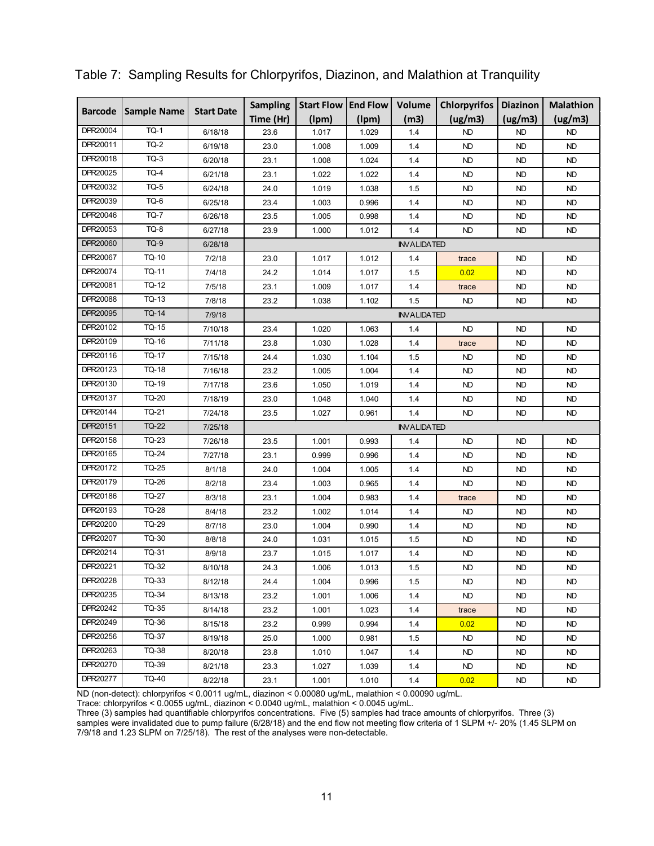| <b>Sample Name</b><br><b>Barcode</b> | <b>Start Date</b> | <b>Sampling</b> | <b>Start Flow</b> | <b>End Flow</b>    | Volume | <b>Chlorpyrifos</b> | <b>Diazinon</b> | <b>Malathion</b> |           |  |
|--------------------------------------|-------------------|-----------------|-------------------|--------------------|--------|---------------------|-----------------|------------------|-----------|--|
|                                      |                   |                 | Time (Hr)         | (lpm)              | (lpm)  | (m3)                | (ug/m3)         | (ug/m3)          | (ug/m3)   |  |
| DPR20004                             | <b>TQ-1</b>       | 6/18/18         | 23.6              | 1.017              | 1.029  | 1.4                 | <b>ND</b>       | <b>ND</b>        | <b>ND</b> |  |
| DPR20011                             | <b>TQ-2</b>       | 6/19/18         | 23.0              | 1.008              | 1.009  | 1.4                 | <b>ND</b>       | <b>ND</b>        | <b>ND</b> |  |
| DPR20018                             | <b>TQ-3</b>       | 6/20/18         | 23.1              | 1.008              | 1.024  | 1.4                 | <b>ND</b>       | <b>ND</b>        | <b>ND</b> |  |
| DPR20025                             | <b>TQ-4</b>       | 6/21/18         | 23.1              | 1.022              | 1.022  | 1.4                 | <b>ND</b>       | <b>ND</b>        | ND        |  |
| DPR20032                             | <b>TQ-5</b>       | 6/24/18         | 24.0              | 1.019              | 1.038  | 1.5                 | <b>ND</b>       | <b>ND</b>        | <b>ND</b> |  |
| DPR20039                             | TQ-6              | 6/25/18         | 23.4              | 1.003              | 0.996  | 1.4                 | <b>ND</b>       | <b>ND</b>        | <b>ND</b> |  |
| DPR20046                             | <b>TQ-7</b>       | 6/26/18         | 23.5              | 1.005              | 0.998  | 1.4                 | <b>ND</b>       | <b>ND</b>        | <b>ND</b> |  |
| DPR20053                             | TQ-8              | 6/27/18         | 23.9              | 1.000              | 1.012  | 1.4                 | <b>ND</b>       | <b>ND</b>        | <b>ND</b> |  |
| DPR20060                             | <b>TQ-9</b>       | 6/28/18         |                   | <b>INVALIDATED</b> |        |                     |                 |                  |           |  |
| DPR20067                             | <b>TQ-10</b>      | 7/2/18          | 23.0              | 1.017              | 1.012  | 1.4                 | trace           | <b>ND</b>        | <b>ND</b> |  |
| DPR20074                             | TQ-11             | 7/4/18          | 24.2              | 1.014              | 1.017  | 1.5                 | 0.02            | <b>ND</b>        | <b>ND</b> |  |
| DPR20081                             | <b>TQ-12</b>      | 7/5/18          | 23.1              | 1.009              | 1.017  | 1.4                 | trace           | <b>ND</b>        | ND        |  |
| DPR20088                             | TQ-13             | 7/8/18          | 23.2              | 1.038              | 1.102  | 1.5                 | ND              | ND               | ND        |  |
| DPR20095                             | <b>TQ-14</b>      | 7/9/18          |                   | <b>INVALIDATED</b> |        |                     |                 |                  |           |  |
| DPR20102                             | <b>TQ-15</b>      | 7/10/18         | 23.4              | 1.020              | 1.063  | 1.4                 | <b>ND</b>       | <b>ND</b>        | <b>ND</b> |  |
| DPR20109                             | TQ-16             | 7/11/18         | 23.8              | 1.030              | 1.028  | 1.4                 | trace           | <b>ND</b>        | <b>ND</b> |  |
| DPR20116                             | <b>TQ-17</b>      | 7/15/18         | 24.4              | 1.030              | 1.104  | 1.5                 | <b>ND</b>       | <b>ND</b>        | <b>ND</b> |  |
| DPR20123                             | <b>TQ-18</b>      | 7/16/18         | 23.2              | 1.005              | 1.004  | 1.4                 | <b>ND</b>       | <b>ND</b>        | <b>ND</b> |  |
| DPR20130                             | TQ-19             | 7/17/18         | 23.6              | 1.050              | 1.019  | 1.4                 | ND              | <b>ND</b>        | ND        |  |
| DPR20137                             | <b>TQ-20</b>      | 7/18/19         | 23.0              | 1.048              | 1.040  | 1.4                 | <b>ND</b>       | <b>ND</b>        | <b>ND</b> |  |
| DPR20144                             | TQ-21             | 7/24/18         | 23.5              | 1.027              | 0.961  | 1.4                 | <b>ND</b>       | <b>ND</b>        | <b>ND</b> |  |
| DPR20151                             | <b>TQ-22</b>      | 7/25/18         |                   |                    |        | <b>INVALIDATED</b>  |                 |                  |           |  |
| DPR20158                             | <b>TQ-23</b>      | 7/26/18         | 23.5              | 1.001              | 0.993  | 1.4                 | <b>ND</b>       | <b>ND</b>        | <b>ND</b> |  |
| DPR20165                             | <b>TQ-24</b>      | 7/27/18         | 23.1              | 0.999              | 0.996  | 1.4                 | <b>ND</b>       | <b>ND</b>        | <b>ND</b> |  |
| DPR20172                             | <b>TQ-25</b>      | 8/1/18          | 24.0              | 1.004              | 1.005  | 1.4                 | <b>ND</b>       | <b>ND</b>        | <b>ND</b> |  |
| DPR20179                             | <b>TQ-26</b>      | 8/2/18          | 23.4              | 1.003              | 0.965  | 1.4                 | <b>ND</b>       | ND               | <b>ND</b> |  |
| DPR20186                             | <b>TQ-27</b>      | 8/3/18          | 23.1              | 1.004              | 0.983  | 1.4                 | trace           | <b>ND</b>        | <b>ND</b> |  |
| DPR20193                             | <b>TQ-28</b>      | 8/4/18          | 23.2              | 1.002              | 1.014  | 1.4                 | <b>ND</b>       | <b>ND</b>        | <b>ND</b> |  |
| DPR20200                             | <b>TQ-29</b>      | 8/7/18          | 23.0              | 1.004              | 0.990  | 1.4                 | <b>ND</b>       | <b>ND</b>        | <b>ND</b> |  |
| DPR20207                             | TQ-30             | 8/8/18          | 24.0              | 1.031              | 1.015  | 1.5                 | <b>ND</b>       | <b>ND</b>        | <b>ND</b> |  |
| DPR20214                             | TQ-31             | 8/9/18          | 23.7              | 1.015              | 1.017  | 1.4                 | <b>ND</b>       | <b>ND</b>        | <b>ND</b> |  |
| DPR20221                             | TQ-32             | 8/10/18         | 24.3              | 1.006              | 1.013  | 1.5                 | <b>ND</b>       | <b>ND</b>        | <b>ND</b> |  |
| DPR20228                             | TQ-33             | 8/12/18         | 24.4              | 1.004              | 0.996  | 1.5                 | ND              | ND.              | ND        |  |
| DPR20235                             | TQ-34             | 8/13/18         | 23.2              | 1.001              | 1.006  | 1.4                 | <b>ND</b>       | ND.              | ND.       |  |
| DPR20242                             | TQ-35             | 8/14/18         | 23.2              | 1.001              | 1.023  | 1.4                 | trace           | ND.              | ND.       |  |
| DPR20249                             | TQ-36             | 8/15/18         | 23.2              | 0.999              | 0.994  | 1.4                 | 0.02            | ND               | ND.       |  |
| DPR20256                             | TQ-37             | 8/19/18         | 25.0              | 1.000              | 0.981  | 1.5                 | <b>ND</b>       | ND.              | ND.       |  |
| DPR20263                             | TQ-38             | 8/20/18         | 23.8              | 1.010              | 1.047  | 1.4                 | <b>ND</b>       | ND.              | ND.       |  |
| DPR20270                             | TQ-39             | 8/21/18         | 23.3              | 1.027              | 1.039  | 1.4                 | ND              | ND.              | ND.       |  |
| DPR20277                             | TQ-40             | 8/22/18         | 23.1              | 1.001              | 1.010  | 1.4                 | 0.02            | ND.              | ND.       |  |

#### Table 7: Sampling Results for Chlorpyrifos, Diazinon, and Malathion at Tranquility

ND (non-detect): chlorpyrifos < 0.0011 ug/mL, diazinon < 0.00080 ug/mL, malathion < 0.00090 ug/mL.

Trace: chlorpyrifos < 0.0055 ug/mL, diazinon < 0.0040 ug/mL, malathion < 0.0045 ug/mL.

Three (3) samples had quantifiable chlorpyrifos concentrations. Five (5) samples had trace amounts of chlorpyrifos. Three (3) samples were invalidated due to pump failure (6/28/18) and the end flow not meeting flow criteria of 1 SLPM +/- 20% (1.45 SLPM on 7/9/18 and 1.23 SLPM on 7/25/18). The rest of the analyses were non-detectable.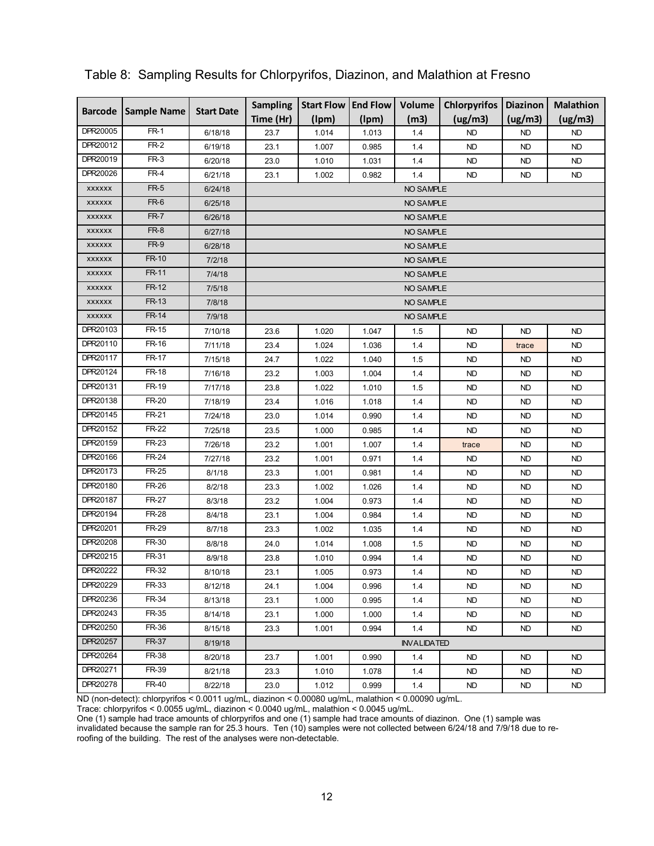| <b>Barcode</b> | <b>Sample Name</b> | <b>Start Date</b>  | <b>Sampling</b> | <b>Start Flow</b> | <b>End Flow</b> | Volume             | <b>Chlorpyrifos</b> | <b>Diazinon</b> | <b>Malathion</b> |  |
|----------------|--------------------|--------------------|-----------------|-------------------|-----------------|--------------------|---------------------|-----------------|------------------|--|
|                |                    |                    | Time (Hr)       | (lpm)             | (lpm)           | (m3)               | (ug/m3)             | (ug/m3)         | (ug/m3)          |  |
| DPR20005       | <b>FR-1</b>        | 6/18/18            | 23.7            | 1.014             | 1.013           | 1.4                | <b>ND</b>           | <b>ND</b>       | ND.              |  |
| DPR20012       | $FR-2$             | 6/19/18            | 23.1            | 1.007             | 0.985           | 1.4                | <b>ND</b>           | <b>ND</b>       | <b>ND</b>        |  |
| DPR20019       | $FR-3$             | 6/20/18            | 23.0            | 1.010             | 1.031           | 1.4                | <b>ND</b>           | ND              | ND               |  |
| DPR20026       | $FR-4$             | 6/21/18            | 23.1            | 1.002             | 0.982           | 1.4                | <b>ND</b>           | <b>ND</b>       | <b>ND</b>        |  |
| <b>XXXXXX</b>  | $FR-5$             | 6/24/18            |                 |                   |                 | NO SAMPLE          |                     |                 |                  |  |
| <b>XXXXXX</b>  | $FR-6$             | 6/25/18            |                 |                   |                 | NO SAMPLE          |                     |                 |                  |  |
| <b>XXXXXX</b>  | <b>FR-7</b>        | 6/26/18            |                 |                   |                 | NO SAMPLE          |                     |                 |                  |  |
| <b>XXXXXX</b>  | FR-8               | 6/27/18            |                 |                   |                 | NO SAMPLE          |                     |                 |                  |  |
| <b>XXXXXX</b>  | <b>FR-9</b>        | 6/28/18            |                 |                   |                 | NO SAMPLE          |                     |                 |                  |  |
| <b>XXXXXX</b>  | FR-10              | 7/2/18             |                 |                   |                 | NO SAMPLE          |                     |                 |                  |  |
| <b>XXXXXX</b>  | FR-11              | 7/4/18             |                 | NO SAMPLE         |                 |                    |                     |                 |                  |  |
| <b>XXXXXX</b>  | FR-12              | 7/5/18             |                 | NO SAMPLE         |                 |                    |                     |                 |                  |  |
| <b>XXXXXX</b>  | FR-13              | 7/8/18             |                 |                   |                 | NO SAMPLE          |                     |                 |                  |  |
| <b>XXXXXX</b>  | FR-14              | 7/9/18             |                 |                   |                 | NO SAMPLE          |                     |                 |                  |  |
| DPR20103       | FR-15              | 7/10/18            | 23.6            | 1.020             | 1.047           | 1.5                | <b>ND</b>           | <b>ND</b>       | ND               |  |
| DPR20110       | FR-16              | 7/11/18            | 23.4            | 1.024             | 1.036           | 1.4                | <b>ND</b>           | trace           | <b>ND</b>        |  |
| DPR20117       | FR-17              | 7/15/18            | 24.7            | 1.022             | 1.040           | 1.5                | <b>ND</b>           | ND              | <b>ND</b>        |  |
| DPR20124       | FR-18              | 7/16/18            | 23.2            | 1.003             | 1.004           | 1.4                | <b>ND</b>           | <b>ND</b>       | ND               |  |
| DPR20131       | FR-19              | 7/17/18            | 23.8            | 1.022             | 1.010           | 1.5                | <b>ND</b>           | <b>ND</b>       | ND               |  |
| DPR20138       | FR-20              | 7/18/19            | 23.4            | 1.016             | 1.018           | 1.4                | <b>ND</b>           | <b>ND</b>       | ND.              |  |
| DPR20145       | FR-21              | 7/24/18            | 23.0            | 1.014             | 0.990           | 1.4                | ND                  | ND              | ND.              |  |
| DPR20152       | FR-22              | 7/25/18            | 23.5            | 1.000             | 0.985           | 1.4                | <b>ND</b>           | ND              | ND.              |  |
| DPR20159       | FR-23              | 7/26/18            | 23.2            | 1.001             | 1.007           | 1.4                | trace               | <b>ND</b>       | <b>ND</b>        |  |
| DPR20166       | FR-24              | 7/27/18            | 23.2            | 1.001             | 0.971           | 1.4                | <b>ND</b>           | <b>ND</b>       | <b>ND</b>        |  |
| DPR20173       | FR-25              | 8/1/18             | 23.3            | 1.001             | 0.981           | 1.4                | <b>ND</b>           | <b>ND</b>       | <b>ND</b>        |  |
| DPR20180       | FR-26              | 8/2/18             | 23.3            | 1.002             | 1.026           | 1.4                | <b>ND</b>           | <b>ND</b>       | ND               |  |
| DPR20187       | FR-27              | 8/3/18             | 23.2            | 1.004             | 0.973           | 1.4                | <b>ND</b>           | ND              | ND.              |  |
| DPR20194       | <b>FR-28</b>       | 8/4/18             | 23.1            | 1.004             | 0.984           | 1.4                | <b>ND</b>           | <b>ND</b>       | <b>ND</b>        |  |
| DPR20201       | FR-29              | 8/7/18             | 23.3            | 1.002             | 1.035           | 1.4                | <b>ND</b>           | <b>ND</b>       | ND               |  |
| DPR20208       | FR-30              | 8/8/18             | 24.0            | 1.014             | 1.008           | 1.5                | <b>ND</b>           | <b>ND</b>       | <b>ND</b>        |  |
| DPR20215       | FR-31              | 8/9/18             | 23.8            | 1.010             | 0.994           | 1.4                | <b>ND</b>           | ND              | <b>ND</b>        |  |
| DPR20222       | FR-32              | 8/10/18            | 23.1            | 1.005             | 0.973           | $1.4$              | <b>ND</b>           | ND              | ND               |  |
| DPR20229       | FR-33              | 8/12/18            | 24.1            | 1.004             | 0.996           | 1.4                | <b>ND</b>           | ND              | ND.              |  |
| DPR20236       | FR-34              |                    |                 |                   |                 |                    | ND                  |                 |                  |  |
| DPR20243       | FR-35              | 8/13/18<br>8/14/18 | 23.1            | 1.000             | 0.995           | 1.4<br>1.4         | ND                  | ND.<br>ND.      | ND.              |  |
| DPR20250       | FR-36              |                    | 23.1            | 1.000             | 1.000           |                    |                     |                 | ND.              |  |
| DPR20257       | FR-37              | 8/15/18            | 23.3            | 1.001             | 0.994           | 1.4                | ND                  | ND.             | ND.              |  |
| DPR20264       | FR-38              | 8/19/18            |                 |                   |                 | <b>INVALIDATED</b> |                     |                 |                  |  |
|                |                    | 8/20/18            | 23.7            | 1.001             | 0.990           | 1.4                | <b>ND</b>           | ND              | ND.              |  |
| DPR20271       | FR-39              | 8/21/18            | 23.3            | 1.010             | 1.078           | 1.4                | ND                  | ND.             | ND.              |  |
| DPR20278       | FR-40              | 8/22/18            | 23.0            | 1.012             | 0.999           | 1.4                | ND                  | ND              | ND.              |  |

#### Table 8: Sampling Results for Chlorpyrifos, Diazinon, and Malathion at Fresno

ND (non-detect): chlorpyrifos < 0.0011 ug/mL, diazinon < 0.00080 ug/mL, malathion < 0.00090 ug/mL.

Trace: chlorpyrifos < 0.0055 ug/mL, diazinon < 0.0040 ug/mL, malathion < 0.0045 ug/mL.

One (1) sample had trace amounts of chlorpyrifos and one (1) sample had trace amounts of diazinon. One (1) sample was invalidated because the sample ran for 25.3 hours. Ten (10) samples were not collected between 6/24/18 and 7/9/18 due to reroofing of the building. The rest of the analyses were non-detectable.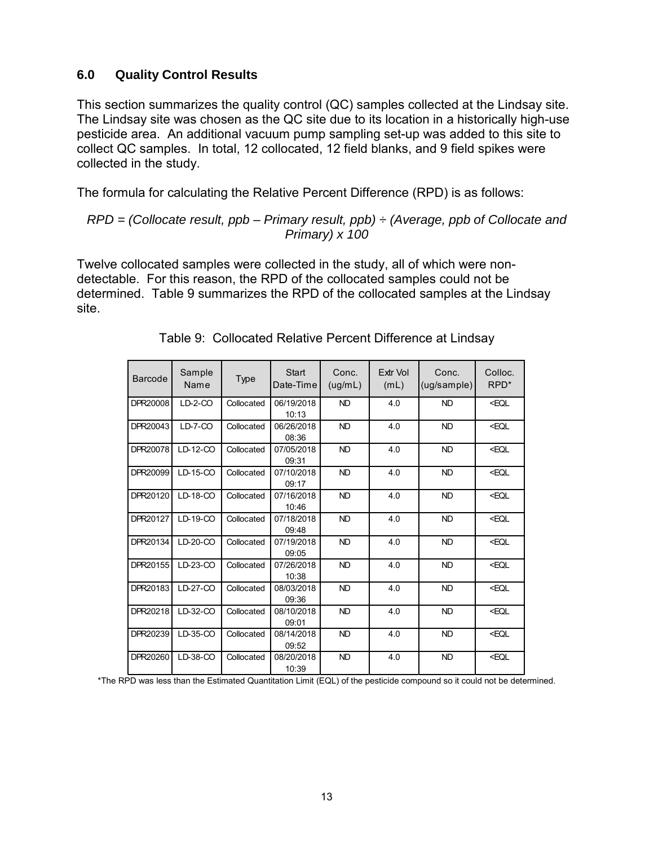### **6.0 Quality Control Results**

This section summarizes the quality control (QC) samples collected at the Lindsay site. The Lindsay site was chosen as the QC site due to its location in a historically high-use pesticide area. An additional vacuum pump sampling set-up was added to this site to collect QC samples. In total, 12 collocated, 12 field blanks, and 9 field spikes were collected in the study.

The formula for calculating the Relative Percent Difference (RPD) is as follows:

#### *RPD = (Collocate result, ppb – Primary result, ppb) ÷ (Average, ppb of Collocate and Primary) x 100*

Twelve collocated samples were collected in the study, all of which were nondetectable. For this reason, the RPD of the collocated samples could not be determined. Table 9 summarizes the RPD of the collocated samples at the Lindsay site.

| Barcode  | Sample<br>Name | Type       | <b>Start</b><br>Date-Time | Conc.<br>(ug/mL) | <b>Fxtr Vol</b><br>(mL) | Conc.<br>(ug/sample) | Colloc.<br>RPD <sup>*</sup> |
|----------|----------------|------------|---------------------------|------------------|-------------------------|----------------------|-----------------------------|
| DPR20008 | $LD-2-CO$      | Collocated | 06/19/2018<br>10:13       | <b>ND</b>        | 4.0                     | <b>ND</b>            | <eql< td=""></eql<>         |
| DPR20043 | $LD-7-CO$      | Collocated | 06/26/2018<br>08:36       | <b>ND</b>        | 4.0                     | <b>ND</b>            | <eql< td=""></eql<>         |
| DPR20078 | LD-12-CO       | Collocated | 07/05/2018<br>09:31       | <b>ND</b>        | 4.0                     | <b>ND</b>            | <eql< td=""></eql<>         |
| DPR20099 | LD-15-CO       | Collocated | 07/10/2018<br>09:17       | <b>ND</b>        | 4.0                     | <b>ND</b>            | <eql< td=""></eql<>         |
| DPR20120 | LD-18-CO       | Collocated | 07/16/2018<br>10:46       | <b>ND</b>        | 4.0                     | <b>ND</b>            | <eql< td=""></eql<>         |
| DPR20127 | LD-19-CO       | Collocated | 07/18/2018<br>09:48       | <b>ND</b>        | 4.0                     | <b>ND</b>            | <eql< td=""></eql<>         |
| DPR20134 | $LD-20-CO$     | Collocated | 07/19/2018<br>09:05       | <b>ND</b>        | 4.0                     | <b>ND</b>            | <eql< td=""></eql<>         |
| DPR20155 | LD-23-CO       | Collocated | 07/26/2018<br>10:38       | <b>ND</b>        | 4.0                     | <b>ND</b>            | <eql< td=""></eql<>         |
| DPR20183 | LD-27-CO       | Collocated | 08/03/2018<br>09:36       | <b>ND</b>        | 4.0                     | <b>ND</b>            | <eql< td=""></eql<>         |
| DPR20218 | LD-32-CO       | Collocated | 08/10/2018<br>09:01       | <b>ND</b>        | 4.0                     | <b>ND</b>            | <eql< td=""></eql<>         |
| DPR20239 | LD-35-CO       | Collocated | 08/14/2018<br>09:52       | <b>ND</b>        | 4.0                     | <b>ND</b>            | <eql< td=""></eql<>         |
| DPR20260 | LD-38-CO       | Collocated | 08/20/2018<br>10:39       | <b>ND</b>        | 4.0                     | <b>ND</b>            | <eql< td=""></eql<>         |

Table 9: Collocated Relative Percent Difference at Lindsay

\*The RPD was less than the Estimated Quantitation Limit (EQL) of the pesticide compound so it could not be determined.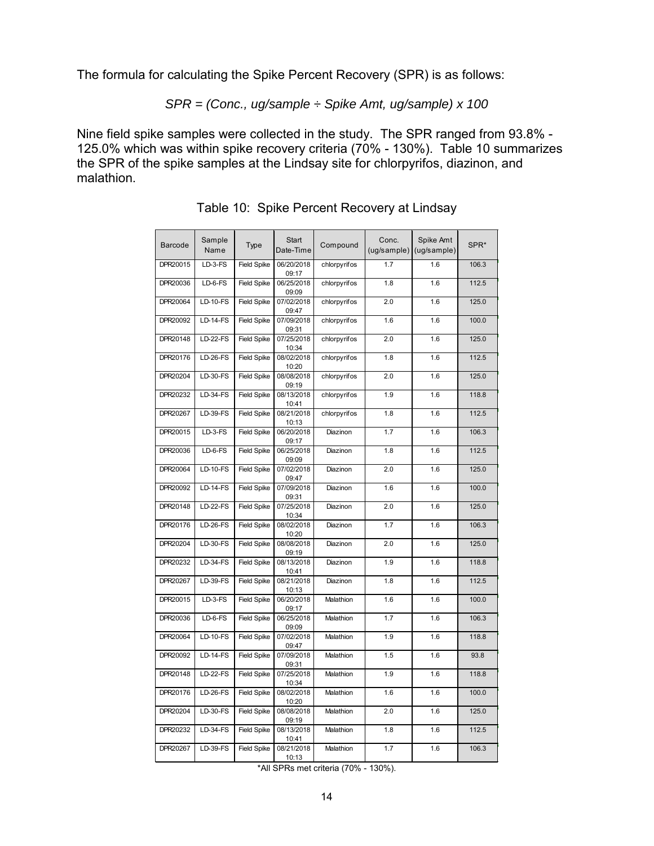The formula for calculating the Spike Percent Recovery (SPR) is as follows:

$$
SPR = (Conc., ug/sample \div Spike Amt, ug/sample) \times 100
$$

Nine field spike samples were collected in the study. The SPR ranged from 93.8% - 125.0% which was within spike recovery criteria (70% - 130%). Table 10 summarizes the SPR of the spike samples at the Lindsay site for chlorpyrifos, diazinon, and malathion.

| Barcode  | Sample<br>Name  | Type               | Start<br>Date-Time  | Compound     | Conc.<br>(ug/sample) | Spike Amt<br>(ug/sample) | SPR*  |
|----------|-----------------|--------------------|---------------------|--------------|----------------------|--------------------------|-------|
| DPR20015 | LD-3-FS         | <b>Field Spike</b> | 06/20/2018<br>09:17 | chlorpyrifos | 1.7                  | 1.6                      | 106.3 |
| DPR20036 | LD-6-FS         | <b>Field Spike</b> | 06/25/2018<br>09:09 | chlorpyrifos | 1.8                  | 1.6                      | 112.5 |
| DPR20064 | $LD-10-FS$      | <b>Field Spike</b> | 07/02/2018<br>09:47 | chlorpyrifos | 2.0                  | 1.6                      | 125.0 |
| DPR20092 | $LD-14-FS$      | <b>Field Spike</b> | 07/09/2018<br>09:31 | chlorpyrifos | 1.6                  | 1.6                      | 100.0 |
| DPR20148 | $LD-22-FS$      | <b>Field Spike</b> | 07/25/2018<br>10:34 | chlorpyrifos | 2.0                  | 1.6                      | 125.0 |
| DPR20176 | $LD-26-FS$      | <b>Field Spike</b> | 08/02/2018<br>10:20 | chlorpyrifos | 1.8                  | 1.6                      | 112.5 |
| DPR20204 | <b>LD-30-FS</b> | <b>Field Spike</b> | 08/08/2018<br>09:19 | chlorpyrifos | 2.0                  | 1.6                      | 125.0 |
| DPR20232 | $LD-34-FS$      | <b>Field Spike</b> | 08/13/2018<br>10:41 | chlorpyrifos | 1.9                  | 1.6                      | 118.8 |
| DPR20267 | <b>LD-39-FS</b> | <b>Field Spike</b> | 08/21/2018<br>10:13 | chlorpyrifos | 1.8                  | 1.6                      | 112.5 |
| DPR20015 | $LD-3-FS$       | <b>Field Spike</b> | 06/20/2018<br>09:17 | Diazinon     | 1.7                  | 1.6                      | 106.3 |
| DPR20036 | $LD-6-FS$       | <b>Field Spike</b> | 06/25/2018<br>09:09 | Diazinon     | 1.8                  | 1.6                      | 112.5 |
| DPR20064 | <b>LD-10-FS</b> | <b>Field Spike</b> | 07/02/2018<br>09:47 | Diazinon     | 2.0                  | 1.6                      | 125.0 |
| DPR20092 | <b>LD-14-FS</b> | <b>Field Spike</b> | 07/09/2018<br>09:31 | Diazinon     | 1.6                  | 1.6                      | 100.0 |
| DPR20148 | <b>LD-22-FS</b> | <b>Field Spike</b> | 07/25/2018<br>10:34 | Diazinon     | 2.0                  | 1.6                      | 125.0 |
| DPR20176 | <b>LD-26-FS</b> | <b>Field Spike</b> | 08/02/2018<br>10:20 | Diazinon     | 1.7                  | 1.6                      | 106.3 |
| DPR20204 | <b>LD-30-FS</b> | <b>Field Spike</b> | 08/08/2018<br>09:19 | Diazinon     | 2.0                  | 1.6                      | 125.0 |
| DPR20232 | <b>LD-34-FS</b> | <b>Field Spike</b> | 08/13/2018<br>10:41 | Diazinon     | 1.9                  | 1.6                      | 118.8 |
| DPR20267 | <b>LD-39-FS</b> | <b>Field Spike</b> | 08/21/2018<br>10:13 | Diazinon     | 1.8                  | 1.6                      | 112.5 |
| DPR20015 | LD-3-FS         | <b>Field Spike</b> | 06/20/2018<br>09:17 | Malathion    | 1.6                  | 1.6                      | 100.0 |
| DPR20036 | $LD-6-FS$       | <b>Field Spike</b> | 06/25/2018<br>09:09 | Malathion    | 1.7                  | 1.6                      | 106.3 |
| DPR20064 | <b>LD-10-FS</b> | <b>Field Spike</b> | 07/02/2018<br>09:47 | Malathion    | 1.9                  | 1.6                      | 118.8 |
| DPR20092 | <b>LD-14-FS</b> | <b>Field Spike</b> | 07/09/2018<br>09:31 | Malathion    | 1.5                  | 1.6                      | 93.8  |
| DPR20148 | <b>LD-22-FS</b> | <b>Field Spike</b> | 07/25/2018<br>10:34 | Malathion    | 1.9                  | 1.6                      | 118.8 |
| DPR20176 | <b>LD-26-FS</b> | <b>Field Spike</b> | 08/02/2018<br>10:20 | Malathion    | 1.6                  | 1.6                      | 100.0 |
| DPR20204 | <b>LD-30-FS</b> | <b>Field Spike</b> | 08/08/2018<br>09:19 | Malathion    | 2.0                  | 1.6                      | 125.0 |
| DPR20232 | <b>LD-34-FS</b> | <b>Field Spike</b> | 08/13/2018<br>10:41 | Malathion    | 1.8                  | 1.6                      | 112.5 |
| DPR20267 | <b>LD-39-FS</b> | <b>Field Spike</b> | 08/21/2018<br>10:13 | Malathion    | 1.7                  | 1.6                      | 106.3 |

Table 10: Spike Percent Recovery at Lindsay

\*All SPRs met criteria (70% - 130%).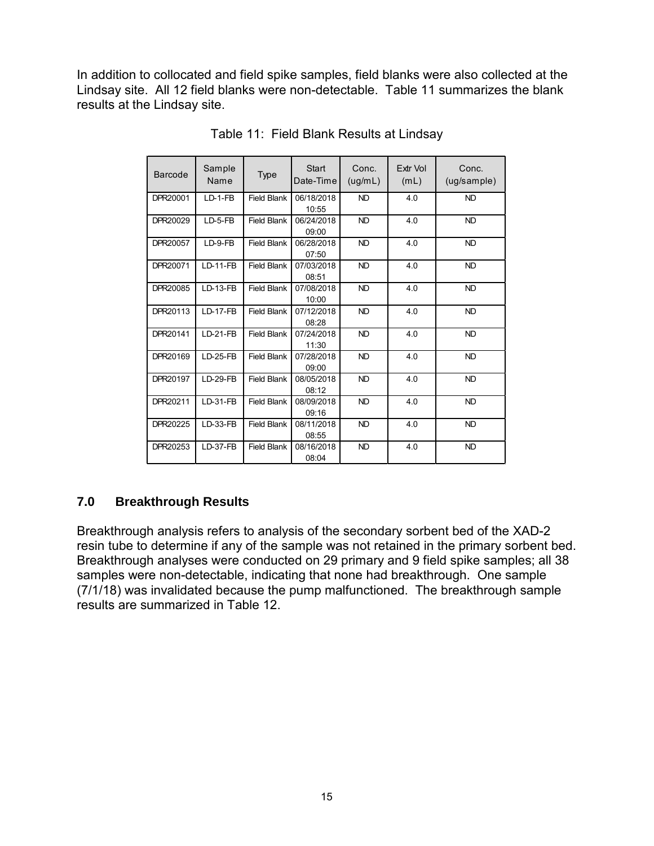In addition to collocated and field spike samples, field blanks were also collected at the Lindsay site. All 12 field blanks were non-detectable. Table 11 summarizes the blank results at the Lindsay site.

| <b>Barcode</b> | Sample<br>Name  | Type               | <b>Start</b><br>Date-Time | Conc.<br>(ug/mL) | <b>Extr Vol</b><br>(mL) | Conc.<br>(ug/sample) |
|----------------|-----------------|--------------------|---------------------------|------------------|-------------------------|----------------------|
| DPR20001       | $LD-1-FB$       | <b>Field Blank</b> | 06/18/2018<br>10:55       | <b>ND</b>        | 4.0                     | <b>ND</b>            |
| DPR20029       | $LD-5-FB$       | <b>Field Blank</b> | 06/24/2018<br>09:00       | <b>ND</b>        | 4.0                     | <b>ND</b>            |
| DPR20057       | $LD-9-FB$       | <b>Field Blank</b> | 06/28/2018<br>07:50       | <b>ND</b>        | 4.0                     | <b>ND</b>            |
| DPR20071       | $LD-11-FB$      | <b>Field Blank</b> | 07/03/2018<br>08:51       | <b>ND</b>        | 4.0                     | <b>ND</b>            |
| DPR20085       | <b>LD-13-FB</b> | <b>Field Blank</b> | 07/08/2018<br>10:00       | <b>ND</b>        | 4.0                     | <b>ND</b>            |
| DPR20113       | <b>LD-17-FB</b> | <b>Field Blank</b> | 07/12/2018<br>08:28       | <b>ND</b>        | 4.0                     | <b>ND</b>            |
| DPR20141       | $LD-21-FB$      | <b>Field Blank</b> | 07/24/2018<br>11:30       | <b>ND</b>        | 4.0                     | ND.                  |
| DPR20169       | $LD-25-FB$      | <b>Field Blank</b> | 07/28/2018<br>09:00       | <b>ND</b>        | 4.0                     | <b>ND</b>            |
| DPR20197       | $LD-29-FB$      | <b>Field Blank</b> | 08/05/2018<br>08:12       | <b>ND</b>        | 4.0                     | <b>ND</b>            |
| DPR20211       | LD-31-FB        | <b>Field Blank</b> | 08/09/2018<br>09:16       | <b>ND</b>        | 4.0                     | <b>ND</b>            |
| DPR20225       | LD-33-FB        | <b>Field Blank</b> | 08/11/2018<br>08:55       | <b>ND</b>        | 4.0                     | <b>ND</b>            |
| DPR20253       | $LD-37-FB$      | <b>Field Blank</b> | 08/16/2018<br>08:04       | <b>ND</b>        | 4.0                     | <b>ND</b>            |

Table 11: Field Blank Results at Lindsay

# **7.0 Breakthrough Results**

Breakthrough analysis refers to analysis of the secondary sorbent bed of the XAD-2 resin tube to determine if any of the sample was not retained in the primary sorbent bed. Breakthrough analyses were conducted on 29 primary and 9 field spike samples; all 38 samples were non-detectable, indicating that none had breakthrough. One sample (7/1/18) was invalidated because the pump malfunctioned. The breakthrough sample results are summarized in Table 12.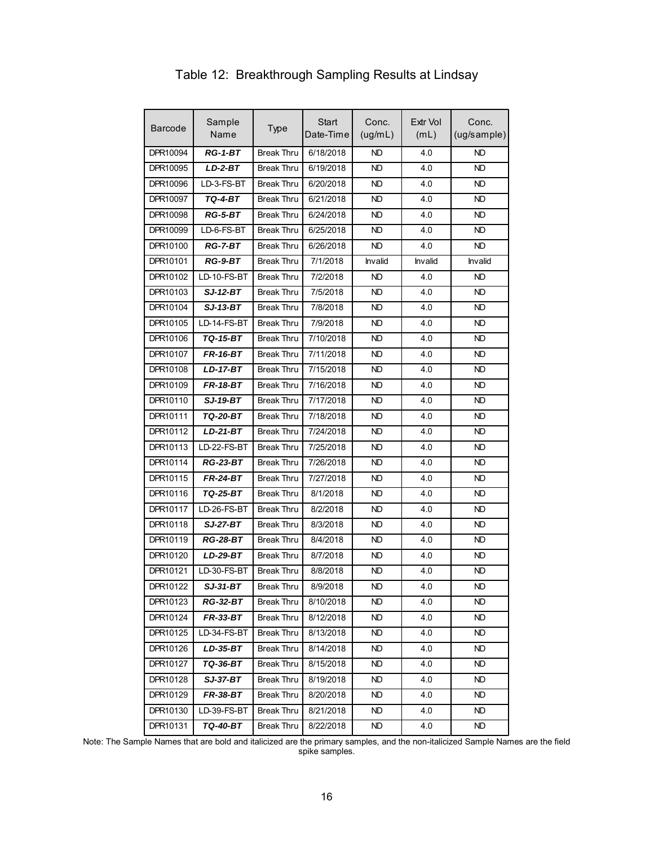| Barcode  | Sample<br>Name  | <b>Type</b>       | <b>Start</b><br>Date-Time | Conc.<br>(ug/mL) | Extr Vol<br>(mL) | Conc.<br>(ug/sample) |
|----------|-----------------|-------------------|---------------------------|------------------|------------------|----------------------|
| DPR10094 | $RG-1-BT$       | <b>Break Thru</b> | 6/18/2018                 | <b>ND</b>        | 4.0              | <b>ND</b>            |
| DPR10095 | $LD-2-BT$       | <b>Break Thru</b> | 6/19/2018                 | <b>ND</b>        | 4.0              | <b>ND</b>            |
| DPR10096 | LD-3-FS-BT      | <b>Break Thru</b> | 6/20/2018                 | ND               | 4.0              | ND                   |
| DPR10097 | TQ-4-BT         | <b>Break Thru</b> | 6/21/2018                 | ND               | 4.0              | ND                   |
| DPR10098 | <b>RG-5-BT</b>  | <b>Break Thru</b> | 6/24/2018                 | ND               | 4.0              | ND                   |
| DPR10099 | LD-6-FS-BT      | <b>Break Thru</b> | 6/25/2018                 | ND               | 4.0              | ND                   |
| DPR10100 | <b>RG-7-BT</b>  | <b>Break Thru</b> | 6/26/2018                 | ND               | 4.0              | ND                   |
| DPR10101 | RG-9-BT         | <b>Break Thru</b> | 7/1/2018                  | Invalid          | Invalid          | <b>Invalid</b>       |
| DPR10102 | LD-10-FS-BT     | <b>Break Thru</b> | 7/2/2018                  | ND.              | 4.0              | ND                   |
| DPR10103 | SJ-12-BT        | <b>Break Thru</b> | 7/5/2018                  | ND               | 4.0              | ND                   |
| DPR10104 | <b>SJ-13-BT</b> | <b>Break Thru</b> | 7/8/2018                  | <b>ND</b>        | 4.0              | <b>ND</b>            |
| DPR10105 | LD-14-FS-BT     | <b>Break Thru</b> | 7/9/2018                  | ND               | 4.0              | ND                   |
| DPR10106 | <b>TQ-15-BT</b> | <b>Break Thru</b> | 7/10/2018                 | <b>ND</b>        | 4.0              | <b>ND</b>            |
| DPR10107 | <b>FR-16-BT</b> | <b>Break Thru</b> | 7/11/2018                 | <b>ND</b>        | 4.0              | <b>ND</b>            |
| DPR10108 | <b>LD-17-BT</b> | <b>Break Thru</b> | 7/15/2018                 | ND               | 4.0              | ND                   |
| DPR10109 | <b>FR-18-BT</b> | <b>Break Thru</b> | 7/16/2018                 | <b>ND</b>        | 4.0              | <b>ND</b>            |
| DPR10110 | <b>SJ-19-BT</b> | Break Thru        | 7/17/2018                 | ND               | 4.0              | ND.                  |
| DPR10111 | TQ-20-BT        | <b>Break Thru</b> | 7/18/2018                 | ND.              | 4.0              | ND.                  |
| DPR10112 | <b>LD-21-BT</b> | <b>Break Thru</b> | 7/24/2018                 | ND               | 4.0              | ND                   |
| DPR10113 | LD-22-FS-BT     | <b>Break Thru</b> | 7/25/2018                 | <b>ND</b>        | 4.0              | <b>ND</b>            |
| DPR10114 | <b>RG-23-BT</b> | <b>Break Thru</b> | 7/26/2018                 | ND               | 4.0              | ND                   |
| DPR10115 | <b>FR-24-BT</b> | <b>Break Thru</b> | 7/27/2018                 | ND.              | 4.0              | ND.                  |
| DPR10116 | TQ-25-BT        | <b>Break Thru</b> | 8/1/2018                  | ND               | 4.0              | <b>ND</b>            |
| DPR10117 | LD-26-FS-BT     | <b>Break Thru</b> | 8/2/2018                  | ND               | 4.0              | ND                   |
| DPR10118 | <b>SJ-27-BT</b> | <b>Break Thru</b> | 8/3/2018                  | <b>ND</b>        | 4.0              | <b>ND</b>            |
| DPR10119 | <b>RG-28-BT</b> | <b>Break Thru</b> | 8/4/2018                  | <b>ND</b>        | 4.0              | <b>ND</b>            |
| DPR10120 | LD-29-BT        | <b>Break Thru</b> | 8/7/2018                  | ND.              | 4.0              | ND.                  |
| DPR10121 | LD-30-FS-BT     | <b>Break Thru</b> | 8/8/2018                  | ND               | 4.0              | ND                   |
| DPR10122 | SJ-31-BT        | <b>Break Thru</b> | 8/9/2018                  | ND               | 4.0              | ND                   |
| DPR10123 | <b>RG-32-BT</b> | <b>Break Thru</b> | 8/10/2018                 | <b>ND</b>        | 4.0              | ND.                  |
| DPR10124 | FR-33-BT        | <b>Break Thru</b> | 8/12/2018                 | ND.              | 4.0              | ND.                  |
| DPR10125 | LD-34-FS-BT     | <b>Break Thru</b> | 8/13/2018                 | <b>ND</b>        | 4.0              | <b>ND</b>            |
| DPR10126 | $LD-35-BT$      | <b>Break Thru</b> | 8/14/2018                 | <b>ND</b>        | 4.0              | ND.                  |
| DPR10127 | TQ-36-BT        | <b>Break Thru</b> | 8/15/2018                 | ND.              | 4.0              | ND.                  |
| DPR10128 | <b>SJ-37-BT</b> | <b>Break Thru</b> | 8/19/2018                 | <b>ND</b>        | 4.0              | ND.                  |
| DPR10129 | FR-38-BT        | Break Thru        | 8/20/2018                 | ND.              | 4.0              | ND.                  |
| DPR10130 | LD-39-FS-BT     | Break Thru        | 8/21/2018                 | <b>ND</b>        | 4.0              | ND.                  |
| DPR10131 | TQ-40-BT        | Break Thru        | 8/22/2018                 | <b>ND</b>        | 4.0              | <b>ND</b>            |

## Table 12: Breakthrough Sampling Results at Lindsay

Note: The Sample Names that are bold and italicized are the primary samples, and the non-italicized Sample Names are the field spike samples.